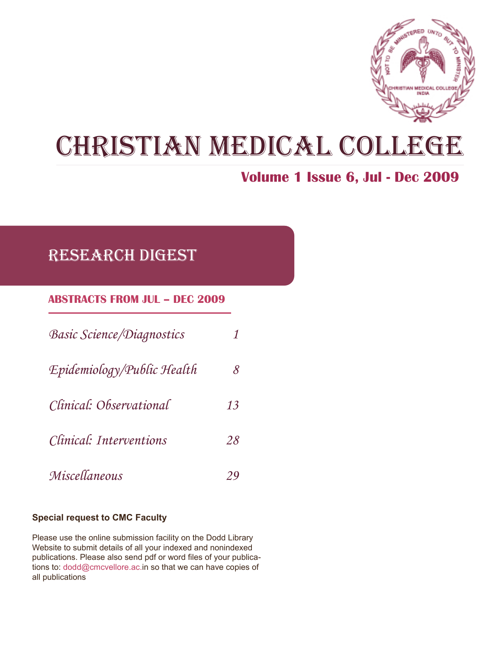

# christian medical college

### **Volume 1 Issue 6, Jul - Dec 2009**

# research digest

### **ABSTRACTS FROM JUL – DEC 2009**

| Basic Science/Diagnostics  | 1  |
|----------------------------|----|
| Epidemiology/Public Health | 8  |
| Clinical: Observational    | 13 |
| Clinical: Interventions    | 28 |
| Miscellaneous              |    |

#### **Special request to CMC Faculty**

Please use the online submission facility on the Dodd Library Website to submit details of all your indexed and nonindexed publications. Please also send pdf or word files of your publications to: dodd@cmcvellore.ac.in so that we can have copies of all publications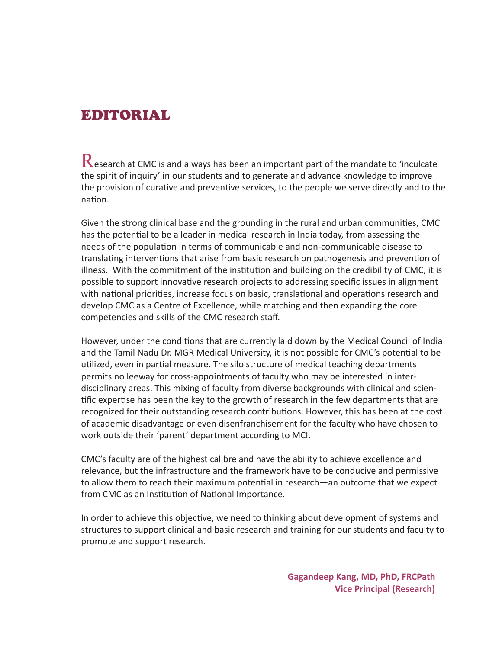### EDITORIAL

Research at CMC is and always has been an important part of the mandate to 'inculcate the spirit of inquiry' in our students and to generate and advance knowledge to improve the provision of curative and preventive services, to the people we serve directly and to the nation.

Given the strong clinical base and the grounding in the rural and urban communities, CMC has the potential to be a leader in medical research in India today, from assessing the needs of the population in terms of communicable and non-communicable disease to translating interventions that arise from basic research on pathogenesis and prevention of illness. With the commitment of the institution and building on the credibility of CMC, it is possible to support innovative research projects to addressing specific issues in alignment with national priorities, increase focus on basic, translational and operations research and develop CMC as a Centre of Excellence, while matching and then expanding the core competencies and skills of the CMC research staff.

However, under the conditions that are currently laid down by the Medical Council of India and the Tamil Nadu Dr. MGR Medical University, it is not possible for CMC's potential to be utilized, even in partial measure. The silo structure of medical teaching departments permits no leeway for cross-appointments of faculty who may be interested in interdisciplinary areas. This mixing of faculty from diverse backgrounds with clinical and scientific expertise has been the key to the growth of research in the few departments that are recognized for their outstanding research contributions. However, this has been at the cost of academic disadvantage or even disenfranchisement for the faculty who have chosen to work outside their 'parent' department according to MCI.

CMC's faculty are of the highest calibre and have the ability to achieve excellence and relevance, but the infrastructure and the framework have to be conducive and permissive to allow them to reach their maximum potential in research—an outcome that we expect from CMC as an Institution of National Importance.

In order to achieve this objective, we need to thinking about development of systems and structures to support clinical and basic research and training for our students and faculty to promote and support research.

> **Gagandeep Kang, MD, PhD, FRCPath Vice Principal (Research)**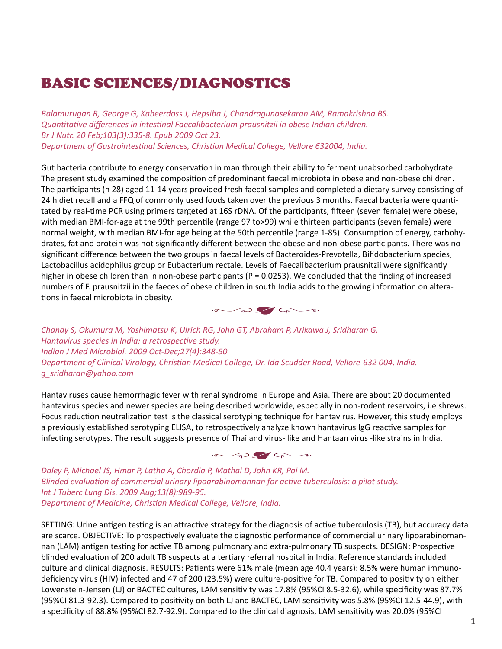# BASIC SCIENCES/DIAGNOSTICS

*Balamurugan R, George G, Kabeerdoss J, Hepsiba J, Chandragunasekaran AM, Ramakrishna BS. Quantitative differences in intestinal Faecalibacterium prausnitzii in obese Indian children. Br J Nutr. 20 Feb;103(3):335-8. Epub 2009 Oct 23. Department of Gastrointestinal Sciences, Christian Medical College, Vellore 632004, India.*

Gut bacteria contribute to energy conservation in man through their ability to ferment unabsorbed carbohydrate. The present study examined the composition of predominant faecal microbiota in obese and non-obese children. The participants (n 28) aged 11-14 years provided fresh faecal samples and completed a dietary survey consisting of 24 h diet recall and a FFQ of commonly used foods taken over the previous 3 months. Faecal bacteria were quantitated by real-time PCR using primers targeted at 16S rDNA. Of the participants, fifteen (seven female) were obese, with median BMI-for-age at the 99th percentile (range 97 to>99) while thirteen participants (seven female) were normal weight, with median BMI-for age being at the 50th percentile (range 1-85). Consumption of energy, carbohydrates, fat and protein was not significantly different between the obese and non-obese participants. There was no significant difference between the two groups in faecal levels of Bacteroides-Prevotella, Bifidobacterium species, Lactobacillus acidophilus group or Eubacterium rectale. Levels of Faecalibacterium prausnitzii were significantly higher in obese children than in non-obese participants ( $P = 0.0253$ ). We concluded that the finding of increased numbers of F. prausnitzii in the faeces of obese children in south India adds to the growing information on alterations in faecal microbiota in obesity.



*Chandy S, Okumura M, Yoshimatsu K, Ulrich RG, John GT, Abraham P, Arikawa J, Sridharan G. Hantavirus species in India: a retrospective study. Indian J Med Microbiol. 2009 Oct-Dec;27(4):348-50 Department of Clinical Virology, Christian Medical College, Dr. Ida Scudder Road, Vellore-632 004, India. g\_sridharan@yahoo.com*

Hantaviruses cause hemorrhagic fever with renal syndrome in Europe and Asia. There are about 20 documented hantavirus species and newer species are being described worldwide, especially in non-rodent reservoirs, i.e shrews. Focus reduction neutralization test is the classical serotyping technique for hantavirus. However, this study employs a previously established serotyping ELISA, to retrospectively analyze known hantavirus IgG reactive samples for infecting serotypes. The result suggests presence of Thailand virus- like and Hantaan virus -like strains in India.



*Daley P, Michael JS, Hmar P, Latha A, Chordia P, Mathai D, John KR, Pai M. Blinded evaluation of commercial urinary lipoarabinomannan for active tuberculosis: a pilot study. Int J Tuberc Lung Dis. 2009 Aug;13(8):989-95. Department of Medicine, Christian Medical College, Vellore, India.*

SETTING: Urine antigen testing is an attractive strategy for the diagnosis of active tuberculosis (TB), but accuracy data are scarce. OBJECTIVE: To prospectively evaluate the diagnostic performance of commercial urinary lipoarabinomannan (LAM) antigen testing for active TB among pulmonary and extra-pulmonary TB suspects. DESIGN: Prospective blinded evaluation of 200 adult TB suspects at a tertiary referral hospital in India. Reference standards included culture and clinical diagnosis. RESULTS: Patients were 61% male (mean age 40.4 years): 8.5% were human immunodeficiency virus (HIV) infected and 47 of 200 (23.5%) were culture-positive for TB. Compared to positivity on either Lowenstein-Jensen (LJ) or BACTEC cultures, LAM sensitivity was 17.8% (95%CI 8.5-32.6), while specificity was 87.7% (95%CI 81.3-92.3). Compared to positivity on both LJ and BACTEC, LAM sensitivity was 5.8% (95%CI 12.5-44.9), with a specificity of 88.8% (95%CI 82.7-92.9). Compared to the clinical diagnosis, LAM sensitivity was 20.0% (95%CI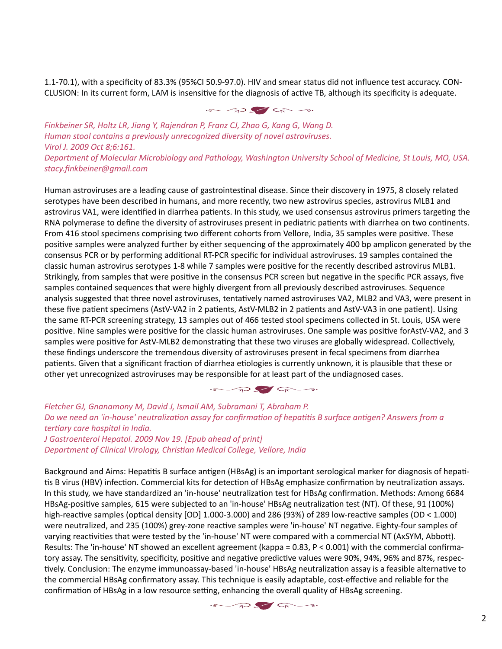1.1-70.1), with a specificity of 83.3% (95%CI 50.9-97.0). HIV and smear status did not influence test accuracy. CON-CLUSION: In its current form, LAM is insensitive for the diagnosis of active TB, although its specificity is adequate.



*Finkbeiner SR, Holtz LR, Jiang Y, Rajendran P, Franz CJ, Zhao G, Kang G, Wang D. Human stool contains a previously unrecognized diversity of novel astroviruses. Virol J. 2009 Oct 8;6:161. Department of Molecular Microbiology and Pathology, Washington University School of Medicine, St Louis, MO, USA. stacy.finkbeiner@gmail.com*

Human astroviruses are a leading cause of gastrointestinal disease. Since their discovery in 1975, 8 closely related serotypes have been described in humans, and more recently, two new astrovirus species, astrovirus MLB1 and astrovirus VA1, were identified in diarrhea patients. In this study, we used consensus astrovirus primers targeting the RNA polymerase to define the diversity of astroviruses present in pediatric patients with diarrhea on two continents. From 416 stool specimens comprising two different cohorts from Vellore, India, 35 samples were positive. These positive samples were analyzed further by either sequencing of the approximately 400 bp amplicon generated by the consensus PCR or by performing additional RT-PCR specific for individual astroviruses. 19 samples contained the classic human astrovirus serotypes 1-8 while 7 samples were positive for the recently described astrovirus MLB1. Strikingly, from samples that were positive in the consensus PCR screen but negative in the specific PCR assays, five samples contained sequences that were highly divergent from all previously described astroviruses. Sequence analysis suggested that three novel astroviruses, tentatively named astroviruses VA2, MLB2 and VA3, were present in these five patient specimens (AstV-VA2 in 2 patients, AstV-MLB2 in 2 patients and AstV-VA3 in one patient). Using the same RT-PCR screening strategy, 13 samples out of 466 tested stool specimens collected in St. Louis, USA were positive. Nine samples were positive for the classic human astroviruses. One sample was positive forAstV-VA2, and 3 samples were positive for AstV-MLB2 demonstrating that these two viruses are globally widespread. Collectively, these findings underscore the tremendous diversity of astroviruses present in fecal specimens from diarrhea patients. Given that a significant fraction of diarrhea etiologies is currently unknown, it is plausible that these or other yet unrecognized astroviruses may be responsible for at least part of the undiagnosed cases.



*Fletcher GJ, Gnanamony M, David J, Ismail AM, Subramani T, Abraham P. Do we need an 'in-house' neutralization assay for confirmation of hepatitis B surface antigen? Answers from a tertiary care hospital in India.*

*J Gastroenterol Hepatol. 2009 Nov 19. [Epub ahead of print] Department of Clinical Virology, Christian Medical College, Vellore, India*

Background and Aims: Hepatitis B surface antigen (HBsAg) is an important serological marker for diagnosis of hepatitis B virus (HBV) infection. Commercial kits for detection of HBsAg emphasize confirmation by neutralization assays. In this study, we have standardized an 'in-house' neutralization test for HBsAg confirmation. Methods: Among 6684 HBsAg-positive samples, 615 were subjected to an 'in-house' HBsAg neutralization test (NT). Of these, 91 (100%) high-reactive samples (optical density [OD] 1.000-3.000) and 286 (93%) of 289 low-reactive samples (OD < 1.000) were neutralized, and 235 (100%) grey-zone reactive samples were 'in-house' NT negative. Eighty-four samples of varying reactivities that were tested by the 'in-house' NT were compared with a commercial NT (AxSYM, Abbott). Results: The 'in-house' NT showed an excellent agreement (kappa = 0.83, P < 0.001) with the commercial confirmatory assay. The sensitivity, specificity, positive and negative predictive values were 90%, 94%, 96% and 87%, respectively. Conclusion: The enzyme immunoassay-based 'in-house' HBsAg neutralization assay is a feasible alternative to the commercial HBsAg confirmatory assay. This technique is easily adaptable, cost-effective and reliable for the confirmation of HBsAg in a low resource setting, enhancing the overall quality of HBsAg screening.

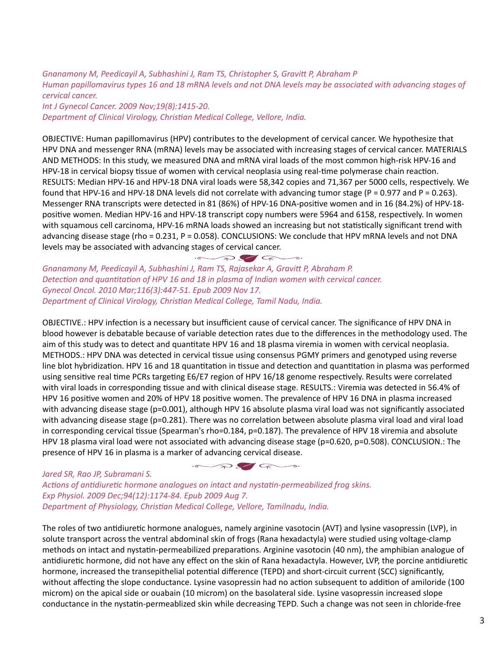*Gnanamony M, Peedicayil A, Subhashini J, Ram TS, Christopher S, Gravitt P, Abraham P Human papillomavirus types 16 and 18 mRNA levels and not DNA levels may be associated with advancing stages of cervical cancer.*

*Int J Gynecol Cancer. 2009 Nov;19(8):1415-20. Department of Clinical Virology, Christian Medical College, Vellore, India.*

OBJECTIVE: Human papillomavirus (HPV) contributes to the development of cervical cancer. We hypothesize that HPV DNA and messenger RNA (mRNA) levels may be associated with increasing stages of cervical cancer. MATERIALS AND METHODS: In this study, we measured DNA and mRNA viral loads of the most common high-risk HPV-16 and HPV-18 in cervical biopsy tissue of women with cervical neoplasia using real-time polymerase chain reaction. RESULTS: Median HPV-16 and HPV-18 DNA viral loads were 58,342 copies and 71,367 per 5000 cells, respectively. We found that HPV-16 and HPV-18 DNA levels did not correlate with advancing tumor stage (P = 0.977 and P = 0.263). Messenger RNA transcripts were detected in 81 (86%) of HPV-16 DNA-positive women and in 16 (84.2%) of HPV-18 positive women. Median HPV-16 and HPV-18 transcript copy numbers were 5964 and 6158, respectively. In women with squamous cell carcinoma, HPV-16 mRNA loads showed an increasing but not statistically significant trend with advancing disease stage (rho = 0.231, P = 0.058). CONCLUSIONS: We conclude that HPV mRNA levels and not DNA levels may be associated with advancing stages of cervical cancer.

*Gnanamony M, Peedicayil A, Subhashini J, Ram TS, Rajasekar A, Gravitt P, Abraham P. Detection and quantitation of HPV 16 and 18 in plasma of Indian women with cervical cancer. Gynecol Oncol. 2010 Mar;116(3):447-51. Epub 2009 Nov 17. Department of Clinical Virology, Christian Medical College, Tamil Nadu, India.*

 $\widehat{\phantom{a}}$ 

OBJECTIVE.: HPV infection is a necessary but insufficient cause of cervical cancer. The significance of HPV DNA in blood however is debatable because of variable detection rates due to the differences in the methodology used. The aim of this study was to detect and quantitate HPV 16 and 18 plasma viremia in women with cervical neoplasia. METHODS.: HPV DNA was detected in cervical tissue using consensus PGMY primers and genotyped using reverse line blot hybridization. HPV 16 and 18 quantitation in tissue and detection and quantitation in plasma was performed using sensitive real time PCRs targeting E6/E7 region of HPV 16/18 genome respectively. Results were correlated with viral loads in corresponding tissue and with clinical disease stage. RESULTS.: Viremia was detected in 56.4% of HPV 16 positive women and 20% of HPV 18 positive women. The prevalence of HPV 16 DNA in plasma increased with advancing disease stage (p=0.001), although HPV 16 absolute plasma viral load was not significantly associated with advancing disease stage (p=0.281). There was no correlation between absolute plasma viral load and viral load in corresponding cervical tissue (Spearman's rho=0.184, p=0.187). The prevalence of HPV 18 viremia and absolute HPV 18 plasma viral load were not associated with advancing disease stage (p=0.620, p=0.508). CONCLUSION.: The presence of HPV 16 in plasma is a marker of advancing cervical disease.

 $\overline{\mathcal{P}}$ 

*Jared SR, Rao JP, Subramani S.*

*Actions of antidiuretic hormone analogues on intact and nystatin-permeabilized frog skins. Exp Physiol. 2009 Dec;94(12):1174-84. Epub 2009 Aug 7. Department of Physiology, Christian Medical College, Vellore, Tamilnadu, India.*

The roles of two antidiuretic hormone analogues, namely arginine vasotocin (AVT) and lysine vasopressin (LVP), in solute transport across the ventral abdominal skin of frogs (Rana hexadactyla) were studied using voltage-clamp methods on intact and nystatin-permeabilized preparations. Arginine vasotocin (40 nm), the amphibian analogue of antidiuretic hormone, did not have any effect on the skin of Rana hexadactyla. However, LVP, the porcine antidiuretic hormone, increased the transepithelial potential difference (TEPD) and short-circuit current (SCC) significantly, without affecting the slope conductance. Lysine vasopressin had no action subsequent to addition of amiloride (100 microm) on the apical side or ouabain (10 microm) on the basolateral side. Lysine vasopressin increased slope conductance in the nystatin-permeablized skin while decreasing TEPD. Such a change was not seen in chloride-free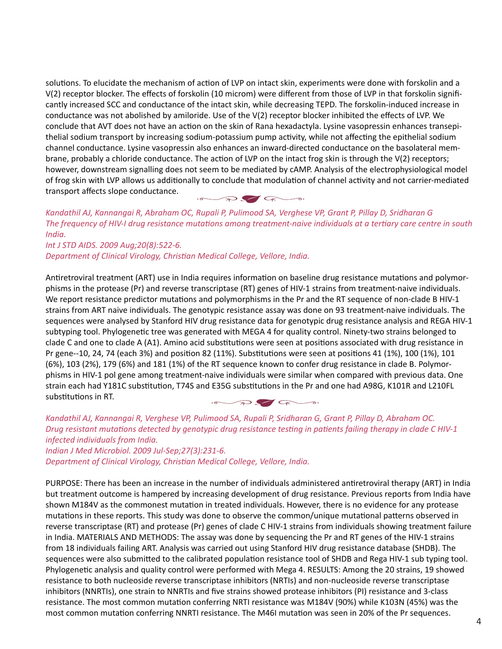solutions. To elucidate the mechanism of action of LVP on intact skin, experiments were done with forskolin and a V(2) receptor blocker. The effects of forskolin (10 microm) were different from those of LVP in that forskolin significantly increased SCC and conductance of the intact skin, while decreasing TEPD. The forskolin-induced increase in conductance was not abolished by amiloride. Use of the V(2) receptor blocker inhibited the effects of LVP. We conclude that AVT does not have an action on the skin of Rana hexadactyla. Lysine vasopressin enhances transepithelial sodium transport by increasing sodium-potassium pump activity, while not affecting the epithelial sodium channel conductance. Lysine vasopressin also enhances an inward-directed conductance on the basolateral membrane, probably a chloride conductance. The action of LVP on the intact frog skin is through the V(2) receptors; however, downstream signalling does not seem to be mediated by cAMP. Analysis of the electrophysiological model of frog skin with LVP allows us additionally to conclude that modulation of channel activity and not carrier-mediated transport affects slope conductance.  $\overline{P}$ 

#### *Kandathil AJ, Kannangai R, Abraham OC, Rupali P, Pulimood SA, Verghese VP, Grant P, Pillay D, Sridharan G The frequency of HIV-I drug resistance mutations among treatment-naive individuals at a tertiary care centre in south India.*

*Int J STD AIDS. 2009 Aug;20(8):522-6. Department of Clinical Virology, Christian Medical College, Vellore, India.*

Antiretroviral treatment (ART) use in India requires information on baseline drug resistance mutations and polymorphisms in the protease (Pr) and reverse transcriptase (RT) genes of HIV-1 strains from treatment-naive individuals. We report resistance predictor mutations and polymorphisms in the Pr and the RT sequence of non-clade B HIV-1 strains from ART naive individuals. The genotypic resistance assay was done on 93 treatment-naive individuals. The sequences were analysed by Stanford HIV drug resistance data for genotypic drug resistance analysis and REGA HIV-1 subtyping tool. Phylogenetic tree was generated with MEGA 4 for quality control. Ninety-two strains belonged to clade C and one to clade A (A1). Amino acid substitutions were seen at positions associated with drug resistance in Pr gene--10, 24, 74 (each 3%) and position 82 (11%). Substitutions were seen at positions 41 (1%), 100 (1%), 101 (6%), 103 (2%), 179 (6%) and 181 (1%) of the RT sequence known to confer drug resistance in clade B. Polymorphisms in HIV-1 pol gene among treatment-naive individuals were similar when compared with previous data. One strain each had Y181C substitution, T74S and E35G substitutions in the Pr and one had A98G, K101R and L210FL substitutions in RT.



*Kandathil AJ, Kannangai R, Verghese VP, Pulimood SA, Rupali P, Sridharan G, Grant P, Pillay D, Abraham OC. Drug resistant mutations detected by genotypic drug resistance testing in patients failing therapy in clade C HIV-1 infected individuals from India.*

*Indian J Med Microbiol. 2009 Jul-Sep;27(3):231-6. Department of Clinical Virology, Christian Medical College, Vellore, India.*

PURPOSE: There has been an increase in the number of individuals administered antiretroviral therapy (ART) in India but treatment outcome is hampered by increasing development of drug resistance. Previous reports from India have shown M184V as the commonest mutation in treated individuals. However, there is no evidence for any protease mutations in these reports. This study was done to observe the common/unique mutational patterns observed in reverse transcriptase (RT) and protease (Pr) genes of clade C HIV-1 strains from individuals showing treatment failure in India. MATERIALS AND METHODS: The assay was done by sequencing the Pr and RT genes of the HIV-1 strains from 18 individuals failing ART. Analysis was carried out using Stanford HIV drug resistance database (SHDB). The sequences were also submitted to the calibrated population resistance tool of SHDB and Rega HIV-1 sub typing tool. Phylogenetic analysis and quality control were performed with Mega 4. RESULTS: Among the 20 strains, 19 showed resistance to both nucleoside reverse transcriptase inhibitors (NRTIs) and non-nucleoside reverse transcriptase inhibitors (NNRTIs), one strain to NNRTIs and five strains showed protease inhibitors (PI) resistance and 3-class resistance. The most common mutation conferring NRTI resistance was M184V (90%) while K103N (45%) was the most common mutation conferring NNRTI resistance. The M46I mutation was seen in 20% of the Pr sequences.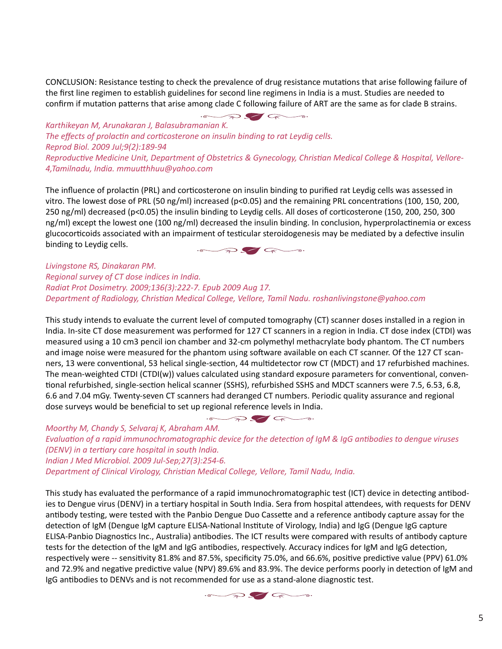CONCLUSION: Resistance testing to check the prevalence of drug resistance mutations that arise following failure of the first line regimen to establish guidelines for second line regimens in India is a must. Studies are needed to confirm if mutation patterns that arise among clade C following failure of ART are the same as for clade B strains.

*Karthikeyan M, Arunakaran J, Balasubramanian K. The effects of prolactin and corticosterone on insulin binding to rat Leydig cells. Reprod Biol. 2009 Jul;9(2):189-94 Reproductive Medicine Unit, Department of Obstetrics & Gynecology, Christian Medical College & Hospital, Vellore-4,Tamilnadu, India. mmuutthhuu@yahoo.com*

 $\overline{\mathcal{P}}$ 

The influence of prolactin (PRL) and corticosterone on insulin binding to purified rat Leydig cells was assessed in vitro. The lowest dose of PRL (50 ng/ml) increased (p<0.05) and the remaining PRL concentrations (100, 150, 200, 250 ng/ml) decreased (p<0.05) the insulin binding to Leydig cells. All doses of corticosterone (150, 200, 250, 300 ng/ml) except the lowest one (100 ng/ml) decreased the insulin binding. In conclusion, hyperprolactinemia or excess glucocorticoids associated with an impairment of testicular steroidogenesis may be mediated by a defective insulin binding to Leydig cells.  $\overline{\mathcal{P}}$ 

*Livingstone RS, Dinakaran PM. Regional survey of CT dose indices in India. Radiat Prot Dosimetry. 2009;136(3):222-7. Epub 2009 Aug 17. Department of Radiology, Christian Medical College, Vellore, Tamil Nadu. roshanlivingstone@yahoo.com*

This study intends to evaluate the current level of computed tomography (CT) scanner doses installed in a region in India. In-site CT dose measurement was performed for 127 CT scanners in a region in India. CT dose index (CTDI) was measured using a 10 cm3 pencil ion chamber and 32-cm polymethyl methacrylate body phantom. The CT numbers and image noise were measured for the phantom using software available on each CT scanner. Of the 127 CT scanners, 13 were conventional, 53 helical single-section, 44 multidetector row CT (MDCT) and 17 refurbished machines. The mean-weighted CTDI (CTDI(w)) values calculated using standard exposure parameters for conventional, conventional refurbished, single-section helical scanner (SSHS), refurbished SSHS and MDCT scanners were 7.5, 6.53, 6.8, 6.6 and 7.04 mGy. Twenty-seven CT scanners had deranged CT numbers. Periodic quality assurance and regional dose surveys would be beneficial to set up regional reference levels in India.

 $\overline{P}$ 

*Moorthy M, Chandy S, Selvaraj K, Abraham AM. Evaluation of a rapid immunochromatographic device for the detection of IgM & IgG antibodies to dengue viruses (DENV) in a tertiary care hospital in south India. Indian J Med Microbiol. 2009 Jul-Sep;27(3):254-6. Department of Clinical Virology, Christian Medical College, Vellore, Tamil Nadu, India.*

This study has evaluated the performance of a rapid immunochromatographic test (ICT) device in detecting antibodies to Dengue virus (DENV) in a tertiary hospital in South India. Sera from hospital attendees, with requests for DENV antibody testing, were tested with the Panbio Dengue Duo Cassette and a reference antibody capture assay for the detection of IgM (Dengue IgM capture ELISA-National Institute of Virology, India) and IgG (Dengue IgG capture ELISA-Panbio Diagnostics Inc., Australia) antibodies. The ICT results were compared with results of antibody capture tests for the detection of the IgM and IgG antibodies, respectively. Accuracy indices for IgM and IgG detection, respectively were -- sensitivity 81.8% and 87.5%, specificity 75.0%, and 66.6%, positive predictive value (PPV) 61.0% and 72.9% and negative predictive value (NPV) 89.6% and 83.9%. The device performs poorly in detection of IgM and IgG antibodies to DENVs and is not recommended for use as a stand-alone diagnostic test.

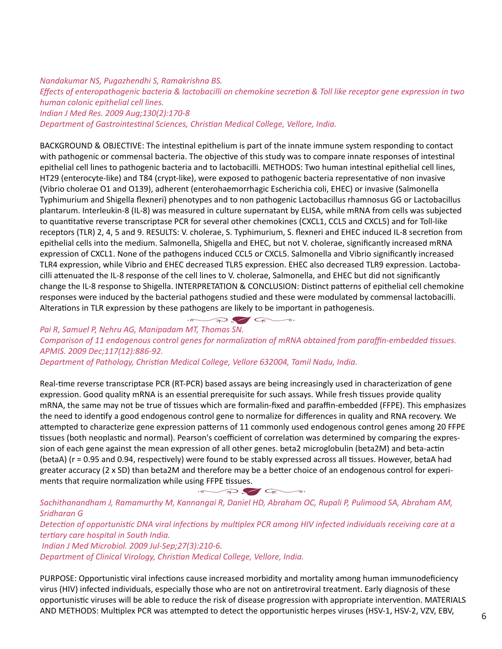*Nandakumar NS, Pugazhendhi S, Ramakrishna BS. Effects of enteropathogenic bacteria & lactobacilli on chemokine secretion & Toll like receptor gene expression in two human colonic epithelial cell lines. Indian J Med Res. 2009 Aug;130(2):170-8 Department of Gastrointestinal Sciences, Christian Medical College, Vellore, India.*

BACKGROUND & OBJECTIVE: The intestinal epithelium is part of the innate immune system responding to contact with pathogenic or commensal bacteria. The objective of this study was to compare innate responses of intestinal epithelial cell lines to pathogenic bacteria and to lactobacilli. METHODS: Two human intestinal epithelial cell lines, HT29 (enterocyte-like) and T84 (crypt-like), were exposed to pathogenic bacteria representative of non invasive (Vibrio cholerae O1 and O139), adherent (enterohaemorrhagic Escherichia coli, EHEC) or invasive (Salmonella Typhimurium and Shigella flexneri) phenotypes and to non pathogenic Lactobacillus rhamnosus GG or Lactobacillus plantarum. Interleukin-8 (IL-8) was measured in culture supernatant by ELISA, while mRNA from cells was subjected to quantitative reverse transcriptase PCR for several other chemokines (CXCL1, CCL5 and CXCL5) and for Toll-like receptors (TLR) 2, 4, 5 and 9. RESULTS: V. cholerae, S. Typhimurium, S. flexneri and EHEC induced IL-8 secretion from epithelial cells into the medium. Salmonella, Shigella and EHEC, but not V. cholerae, significantly increased mRNA expression of CXCL1. None of the pathogens induced CCL5 or CXCL5. Salmonella and Vibrio significantly increased TLR4 expression, while Vibrio and EHEC decreased TLR5 expression. EHEC also decreased TLR9 expression. Lactobacilli attenuated the IL-8 response of the cell lines to V. cholerae, Salmonella, and EHEC but did not significantly change the IL-8 response to Shigella. INTERPRETATION & CONCLUSION: Distinct patterns of epithelial cell chemokine responses were induced by the bacterial pathogens studied and these were modulated by commensal lactobacilli. Alterations in TLR expression by these pathogens are likely to be important in pathogenesis.

*Pai R, Samuel P, Nehru AG, Manipadam MT, Thomas SN.*

*Comparison of 11 endogenous control genes for normalization of mRNA obtained from paraffin-embedded tissues. APMIS. 2009 Dec;117(12):886-92.*

 $PQ$ 

*Department of Pathology, Christian Medical College, Vellore 632004, Tamil Nadu, India.*

 $-\infty$ 

Real-time reverse transcriptase PCR (RT-PCR) based assays are being increasingly used in characterization of gene expression. Good quality mRNA is an essential prerequisite for such assays. While fresh tissues provide quality mRNA, the same may not be true of tissues which are formalin-fixed and paraffin-embedded (FFPE). This emphasizes the need to identify a good endogenous control gene to normalize for differences in quality and RNA recovery. We attempted to characterize gene expression patterns of 11 commonly used endogenous control genes among 20 FFPE tissues (both neoplastic and normal). Pearson's coefficient of correlation was determined by comparing the expression of each gene against the mean expression of all other genes. beta2 microglobulin (beta2M) and beta-actin (betaA) (r = 0.95 and 0.94, respectively) were found to be stably expressed across all tissues. However, betaA had greater accuracy (2 x SD) than beta2M and therefore may be a better choice of an endogenous control for experiments that require normalization while using FFPE tissues.

 $\overline{\phantom{a}}$ 

*Sachithanandham J, Ramamurthy M, Kannangai R, Daniel HD, Abraham OC, Rupali P, Pulimood SA, Abraham AM, Sridharan G*

*Detection of opportunistic DNA viral infections by multiplex PCR among HIV infected individuals receiving care at a tertiary care hospital in South India.*

 *Indian J Med Microbiol. 2009 Jul-Sep;27(3):210-6. Department of Clinical Virology, Christian Medical College, Vellore, India.*

PURPOSE: Opportunistic viral infections cause increased morbidity and mortality among human immunodeficiency virus (HIV) infected individuals, especially those who are not on antiretroviral treatment. Early diagnosis of these opportunistic viruses will be able to reduce the risk of disease progression with appropriate intervention. MATERIALS AND METHODS: Multiplex PCR was attempted to detect the opportunistic herpes viruses (HSV-1, HSV-2, VZV, EBV, 6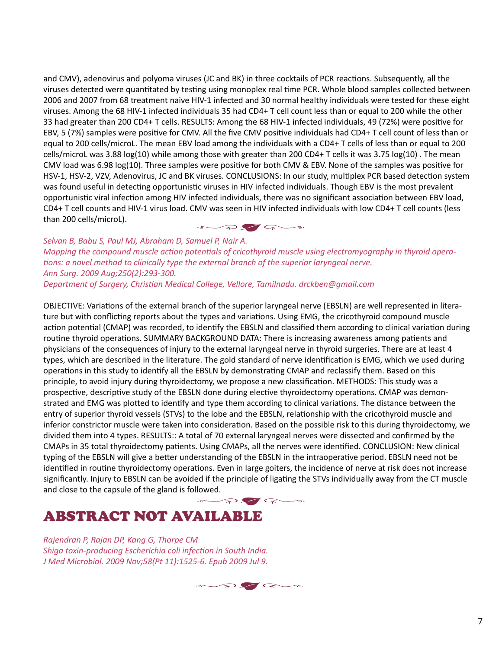and CMV), adenovirus and polyoma viruses (JC and BK) in three cocktails of PCR reactions. Subsequently, all the viruses detected were quantitated by testing using monoplex real time PCR. Whole blood samples collected between 2006 and 2007 from 68 treatment naive HIV-1 infected and 30 normal healthy individuals were tested for these eight viruses. Among the 68 HIV-1 infected individuals 35 had CD4+ T cell count less than or equal to 200 while the other 33 had greater than 200 CD4+ T cells. RESULTS: Among the 68 HIV-1 infected individuals, 49 (72%) were positive for EBV, 5 (7%) samples were positive for CMV. All the five CMV positive individuals had CD4+ T cell count of less than or equal to 200 cells/microL. The mean EBV load among the individuals with a CD4+ T cells of less than or equal to 200 cells/microL was 3.88 log(10) while among those with greater than 200 CD4+ T cells it was 3.75 log(10) . The mean CMV load was 6.98 log(10). Three samples were positive for both CMV & EBV. None of the samples was positive for HSV-1, HSV-2, VZV, Adenovirus, JC and BK viruses. CONCLUSIONS: In our study, multiplex PCR based detection system was found useful in detecting opportunistic viruses in HIV infected individuals. Though EBV is the most prevalent opportunistic viral infection among HIV infected individuals, there was no significant association between EBV load, CD4+ T cell counts and HIV-1 virus load. CMV was seen in HIV infected individuals with low CD4+ T cell counts (less than 200 cells/microL).  $\overline{P}$ 

*Selvan B, Babu S, Paul MJ, Abraham D, Samuel P, Nair A.*

*Mapping the compound muscle action potentials of cricothyroid muscle using electromyography in thyroid operations: a novel method to clinically type the external branch of the superior laryngeal nerve. Ann Surg. 2009 Aug;250(2):293-300.*

*Department of Surgery, Christian Medical College, Vellore, Tamilnadu. drckben@gmail.com*

OBJECTIVE: Variations of the external branch of the superior laryngeal nerve (EBSLN) are well represented in literature but with conflicting reports about the types and variations. Using EMG, the cricothyroid compound muscle action potential (CMAP) was recorded, to identify the EBSLN and classified them according to clinical variation during routine thyroid operations. SUMMARY BACKGROUND DATA: There is increasing awareness among patients and physicians of the consequences of injury to the external laryngeal nerve in thyroid surgeries. There are at least 4 types, which are described in the literature. The gold standard of nerve identification is EMG, which we used during operations in this study to identify all the EBSLN by demonstrating CMAP and reclassify them. Based on this principle, to avoid injury during thyroidectomy, we propose a new classification. METHODS: This study was a prospective, descriptive study of the EBSLN done during elective thyroidectomy operations. CMAP was demonstrated and EMG was plotted to identify and type them according to clinical variations. The distance between the entry of superior thyroid vessels (STVs) to the lobe and the EBSLN, relationship with the cricothyroid muscle and inferior constrictor muscle were taken into consideration. Based on the possible risk to this during thyroidectomy, we divided them into 4 types. RESULTS:: A total of 70 external laryngeal nerves were dissected and confirmed by the CMAPs in 35 total thyroidectomy patients. Using CMAPs, all the nerves were identified. CONCLUSION: New clinical typing of the EBSLN will give a better understanding of the EBSLN in the intraoperative period. EBSLN need not be identified in routine thyroidectomy operations. Even in large goiters, the incidence of nerve at risk does not increase significantly. Injury to EBSLN can be avoided if the principle of ligating the STVs individually away from the CT muscle and close to the capsule of the gland is followed.

 $PQQ$ 

## ABSTRACT NOT AVAILABLE

*Rajendran P, Rajan DP, Kang G, Thorpe CM Shiga toxin-producing Escherichia coli infection in South India. J Med Microbiol. 2009 Nov;58(Pt 11):1525-6. Epub 2009 Jul 9.*

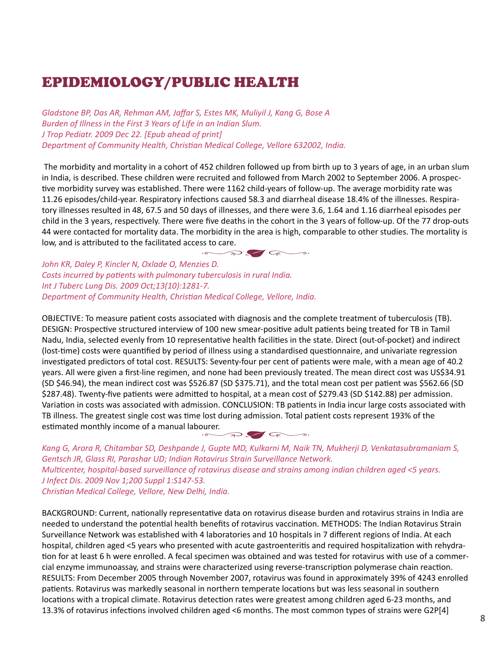### EPIDEMIOLOGY/PUBLIC HEALTH

*Gladstone BP, Das AR, Rehman AM, Jaffar S, Estes MK, Muliyil J, Kang G, Bose A Burden of Illness in the First 3 Years of Life in an Indian Slum. J Trop Pediatr. 2009 Dec 22. [Epub ahead of print] Department of Community Health, Christian Medical College, Vellore 632002, India.*

 The morbidity and mortality in a cohort of 452 children followed up from birth up to 3 years of age, in an urban slum in India, is described. These children were recruited and followed from March 2002 to September 2006. A prospective morbidity survey was established. There were 1162 child-years of follow-up. The average morbidity rate was 11.26 episodes/child-year. Respiratory infections caused 58.3 and diarrheal disease 18.4% of the illnesses. Respiratory illnesses resulted in 48, 67.5 and 50 days of illnesses, and there were 3.6, 1.64 and 1.16 diarrheal episodes per child in the 3 years, respectively. There were five deaths in the cohort in the 3 years of follow-up. Of the 77 drop-outs 44 were contacted for mortality data. The morbidity in the area is high, comparable to other studies. The mortality is low, and is attributed to the facilitated access to care.

 $P = \mathcal{F}$ 

*John KR, Daley P, Kincler N, Oxlade O, Menzies D. Costs incurred by patients with pulmonary tuberculosis in rural India. Int J Tuberc Lung Dis. 2009 Oct;13(10):1281-7. Department of Community Health, Christian Medical College, Vellore, India.*

OBJECTIVE: To measure patient costs associated with diagnosis and the complete treatment of tuberculosis (TB). DESIGN: Prospective structured interview of 100 new smear-positive adult patients being treated for TB in Tamil Nadu, India, selected evenly from 10 representative health facilities in the state. Direct (out-of-pocket) and indirect (lost-time) costs were quantified by period of illness using a standardised questionnaire, and univariate regression investigated predictors of total cost. RESULTS: Seventy-four per cent of patients were male, with a mean age of 40.2 years. All were given a first-line regimen, and none had been previously treated. The mean direct cost was US\$34.91 (SD \$46.94), the mean indirect cost was \$526.87 (SD \$375.71), and the total mean cost per patient was \$562.66 (SD \$287.48). Twenty-five patients were admitted to hospital, at a mean cost of \$279.43 (SD \$142.88) per admission. Variation in costs was associated with admission. CONCLUSION: TB patients in India incur large costs associated with TB illness. The greatest single cost was time lost during admission. Total patient costs represent 193% of the estimated monthly income of a manual labourer.  $PQQ$ 

*Kang G, Arora R, Chitambar SD, Deshpande J, Gupte MD, Kulkarni M, Naik TN, Mukherji D, Venkatasubramaniam S, Gentsch JR, Glass RI, Parashar UD; Indian Rotavirus Strain Surveillance Network. Multicenter, hospital-based surveillance of rotavirus disease and strains among indian children aged <5 years. J Infect Dis. 2009 Nov 1;200 Suppl 1:S147-53. Christian Medical College, Vellore, New Delhi, India.*

BACKGROUND: Current, nationally representative data on rotavirus disease burden and rotavirus strains in India are needed to understand the potential health benefits of rotavirus vaccination. METHODS: The Indian Rotavirus Strain Surveillance Network was established with 4 laboratories and 10 hospitals in 7 different regions of India. At each hospital, children aged <5 years who presented with acute gastroenteritis and required hospitalization with rehydration for at least 6 h were enrolled. A fecal specimen was obtained and was tested for rotavirus with use of a commercial enzyme immunoassay, and strains were characterized using reverse-transcription polymerase chain reaction. RESULTS: From December 2005 through November 2007, rotavirus was found in approximately 39% of 4243 enrolled patients. Rotavirus was markedly seasonal in northern temperate locations but was less seasonal in southern locations with a tropical climate. Rotavirus detection rates were greatest among children aged 6-23 months, and 13.3% of rotavirus infections involved children aged <6 months. The most common types of strains were G2P[4]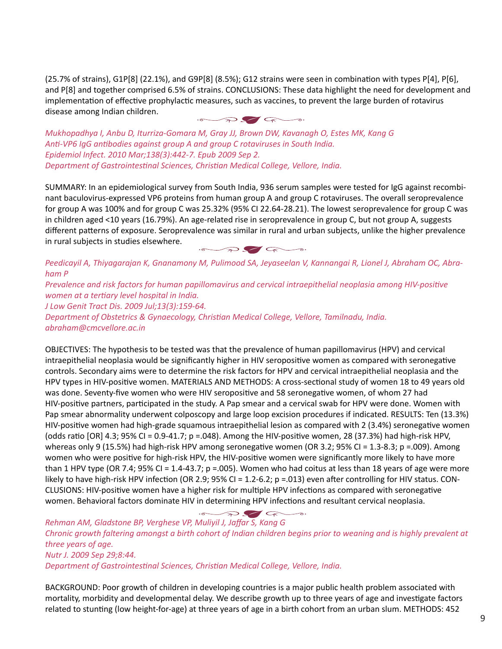(25.7% of strains), G1P[8] (22.1%), and G9P[8] (8.5%); G12 strains were seen in combination with types P[4], P[6], and P[8] and together comprised 6.5% of strains. CONCLUSIONS: These data highlight the need for development and implementation of effective prophylactic measures, such as vaccines, to prevent the large burden of rotavirus disease among Indian children.  $\overline{\mathcal{P}}$ 

*Mukhopadhya I, Anbu D, Iturriza-Gomara M, Gray JJ, Brown DW, Kavanagh O, Estes MK, Kang G Anti-VP6 IgG antibodies against group A and group C rotaviruses in South India. Epidemiol Infect. 2010 Mar;138(3):442-7. Epub 2009 Sep 2. Department of Gastrointestinal Sciences, Christian Medical College, Vellore, India.*

SUMMARY: In an epidemiological survey from South India, 936 serum samples were tested for IgG against recombinant baculovirus-expressed VP6 proteins from human group A and group C rotaviruses. The overall seroprevalence for group A was 100% and for group C was 25.32% (95% CI 22.64-28.21). The lowest seroprevalence for group C was in children aged <10 years (16.79%). An age-related rise in seroprevalence in group C, but not group A, suggests different patterns of exposure. Seroprevalence was similar in rural and urban subjects, unlike the higher prevalence in rural subjects in studies elsewhere.  $\overline{\mathcal{P}}$ 

*Peedicayil A, Thiyagarajan K, Gnanamony M, Pulimood SA, Jeyaseelan V, Kannangai R, Lionel J, Abraham OC, Abraham P*

*Prevalence and risk factors for human papillomavirus and cervical intraepithelial neoplasia among HIV-positive women at a tertiary level hospital in India.*

*J Low Genit Tract Dis. 2009 Jul;13(3):159-64.*

*Department of Obstetrics & Gynaecology, Christian Medical College, Vellore, Tamilnadu, India. abraham@cmcvellore.ac.in*

OBJECTIVES: The hypothesis to be tested was that the prevalence of human papillomavirus (HPV) and cervical intraepithelial neoplasia would be significantly higher in HIV seropositive women as compared with seronegative controls. Secondary aims were to determine the risk factors for HPV and cervical intraepithelial neoplasia and the HPV types in HIV-positive women. MATERIALS AND METHODS: A cross-sectional study of women 18 to 49 years old was done. Seventy-five women who were HIV seropositive and 58 seronegative women, of whom 27 had HIV-positive partners, participated in the study. A Pap smear and a cervical swab for HPV were done. Women with Pap smear abnormality underwent colposcopy and large loop excision procedures if indicated. RESULTS: Ten (13.3%) HIV-positive women had high-grade squamous intraepithelial lesion as compared with 2 (3.4%) seronegative women (odds ratio [OR] 4.3; 95% CI = 0.9-41.7; p =.048). Among the HIV-positive women, 28 (37.3%) had high-risk HPV, whereas only 9 (15.5%) had high-risk HPV among seronegative women (OR 3.2; 95% CI = 1.3-8.3; p =.009). Among women who were positive for high-risk HPV, the HIV-positive women were significantly more likely to have more than 1 HPV type (OR 7.4; 95% CI = 1.4-43.7;  $p = 0.005$ ). Women who had coitus at less than 18 years of age were more likely to have high-risk HPV infection (OR 2.9;  $95\%$  CI = 1.2-6.2;  $p = 0.013$ ) even after controlling for HIV status. CON-CLUSIONS: HIV-positive women have a higher risk for multiple HPV infections as compared with seronegative women. Behavioral factors dominate HIV in determining HPV infections and resultant cervical neoplasia.

*Rehman AM, Gladstone BP, Verghese VP, Muliyil J, Jaffar S, Kang G Chronic growth faltering amongst a birth cohort of Indian children begins prior to weaning and is highly prevalent at three years of age. Nutr J. 2009 Sep 29;8:44. Department of Gastrointestinal Sciences, Christian Medical College, Vellore, India.*

 $\sim$ 

BACKGROUND: Poor growth of children in developing countries is a major public health problem associated with mortality, morbidity and developmental delay. We describe growth up to three years of age and investigate factors related to stunting (low height-for-age) at three years of age in a birth cohort from an urban slum. METHODS: 452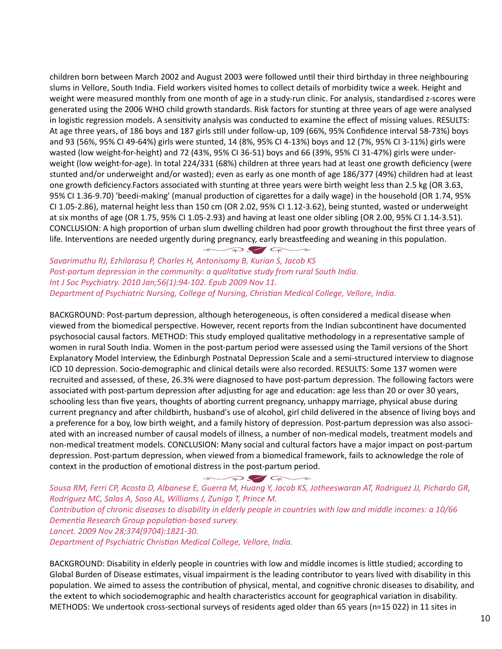children born between March 2002 and August 2003 were followed until their third birthday in three neighbouring slums in Vellore, South India. Field workers visited homes to collect details of morbidity twice a week. Height and weight were measured monthly from one month of age in a study-run clinic. For analysis, standardised z-scores were generated using the 2006 WHO child growth standards. Risk factors for stunting at three years of age were analysed in logistic regression models. A sensitivity analysis was conducted to examine the effect of missing values. RESULTS: At age three years, of 186 boys and 187 girls still under follow-up, 109 (66%, 95% Confidence interval 58-73%) boys and 93 (56%, 95% CI 49-64%) girls were stunted, 14 (8%, 95% CI 4-13%) boys and 12 (7%, 95% CI 3-11%) girls were wasted (low weight-for-height) and 72 (43%, 95% CI 36-51) boys and 66 (39%, 95% CI 31-47%) girls were underweight (low weight-for-age). In total 224/331 (68%) children at three years had at least one growth deficiency (were stunted and/or underweight and/or wasted); even as early as one month of age 186/377 (49%) children had at least one growth deficiency.Factors associated with stunting at three years were birth weight less than 2.5 kg (OR 3.63, 95% CI 1.36-9.70) 'beedi-making' (manual production of cigarettes for a daily wage) in the household (OR 1.74, 95% CI 1.05-2.86), maternal height less than 150 cm (OR 2.02, 95% CI 1.12-3.62), being stunted, wasted or underweight at six months of age (OR 1.75, 95% CI 1.05-2.93) and having at least one older sibling (OR 2.00, 95% CI 1.14-3.51). CONCLUSION: A high proportion of urban slum dwelling children had poor growth throughout the first three years of life. Interventions are needed urgently during pregnancy, early breastfeeding and weaning in this population.

 $PQ \nsubseteq Q$ 

*Savarimuthu RJ, Ezhilarasu P, Charles H, Antonisamy B, Kurian S, Jacob KS Post-partum depression in the community: a qualitative study from rural South India. Int J Soc Psychiatry. 2010 Jan;56(1):94-102. Epub 2009 Nov 11. Department of Psychiatric Nursing, College of Nursing, Christian Medical College, Vellore, India.*

 $\cdot$   $\circ$ 

BACKGROUND: Post-partum depression, although heterogeneous, is often considered a medical disease when viewed from the biomedical perspective. However, recent reports from the Indian subcontinent have documented psychosocial causal factors. METHOD: This study employed qualitative methodology in a representative sample of women in rural South India. Women in the post-partum period were assessed using the Tamil versions of the Short Explanatory Model Interview, the Edinburgh Postnatal Depression Scale and a semi-structured interview to diagnose ICD 10 depression. Socio-demographic and clinical details were also recorded. RESULTS: Some 137 women were recruited and assessed, of these, 26.3% were diagnosed to have post-partum depression. The following factors were associated with post-partum depression after adjusting for age and education: age less than 20 or over 30 years, schooling less than five years, thoughts of aborting current pregnancy, unhappy marriage, physical abuse during current pregnancy and after childbirth, husband's use of alcohol, girl child delivered in the absence of living boys and a preference for a boy, low birth weight, and a family history of depression. Post-partum depression was also associated with an increased number of causal models of illness, a number of non-medical models, treatment models and non-medical treatment models. CONCLUSION: Many social and cultural factors have a major impact on post-partum depression. Post-partum depression, when viewed from a biomedical framework, fails to acknowledge the role of context in the production of emotional distress in the post-partum period.

> $\sqrt{2}$  $\overline{\phantom{a}}$

*Sousa RM, Ferri CP, Acosta D, Albanese E, Guerra M, Huang Y, Jacob KS, Jotheeswaran AT, Rodriguez JJ, Pichardo GR, Rodriguez MC, Salas A, Sosa AL, Williams J, Zuniga T, Prince M. Contribution of chronic diseases to disability in elderly people in countries with low and middle incomes: a 10/66 Dementia Research Group population-based survey. Lancet. 2009 Nov 28;374(9704):1821-30. Department of Psychiatric Christian Medical College, Vellore, India.*

BACKGROUND: Disability in elderly people in countries with low and middle incomes is little studied; according to Global Burden of Disease estimates, visual impairment is the leading contributor to years lived with disability in this population. We aimed to assess the contribution of physical, mental, and cognitive chronic diseases to disability, and the extent to which sociodemographic and health characteristics account for geographical variation in disability. METHODS: We undertook cross-sectional surveys of residents aged older than 65 years (n=15 022) in 11 sites in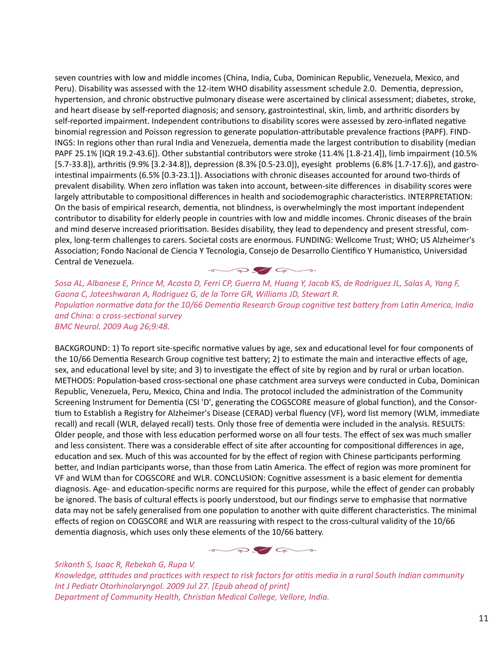seven countries with low and middle incomes (China, India, Cuba, Dominican Republic, Venezuela, Mexico, and Peru). Disability was assessed with the 12-item WHO disability assessment schedule 2.0. Dementia, depression, hypertension, and chronic obstructive pulmonary disease were ascertained by clinical assessment; diabetes, stroke, and heart disease by self-reported diagnosis; and sensory, gastrointestinal, skin, limb, and arthritic disorders by self-reported impairment. Independent contributions to disability scores were assessed by zero-inflated negative binomial regression and Poisson regression to generate population-attributable prevalence fractions (PAPF). FIND-INGS: In regions other than rural India and Venezuela, dementia made the largest contribution to disability (median PAPF 25.1% [IQR 19.2-43.6]). Other substantial contributors were stroke (11.4% [1.8-21.4]), limb impairment (10.5% [5.7-33.8]), arthritis (9.9% [3.2-34.8]), depression (8.3% [0.5-23.0]), eyesight problems (6.8% [1.7-17.6]), and gastrointestinal impairments (6.5% [0.3-23.1]). Associations with chronic diseases accounted for around two-thirds of prevalent disability. When zero inflation was taken into account, between-site differences in disability scores were largely attributable to compositional differences in health and sociodemographic characteristics. INTERPRETATION: On the basis of empirical research, dementia, not blindness, is overwhelmingly the most important independent contributor to disability for elderly people in countries with low and middle incomes. Chronic diseases of the brain and mind deserve increased prioritisation. Besides disability, they lead to dependency and present stressful, complex, long-term challenges to carers. Societal costs are enormous. FUNDING: Wellcome Trust; WHO; US Alzheimer's Association; Fondo Nacional de Ciencia Y Tecnologia, Consejo de Desarrollo Cientifico Y Humanistico, Universidad Central de Venezuela.  $\overline{\mathcal{P}}$ 

*Sosa AL, Albanese E, Prince M, Acosta D, Ferri CP, Guerra M, Huang Y, Jacob KS, de Rodriguez JL, Salas A, Yang F, Gaona C, Joteeshwaran A, Rodriguez G, de la Torre GR, Williams JD, Stewart R. Population normative data for the 10/66 Dementia Research Group cognitive test battery from Latin America, India and China: a cross-sectional survey BMC Neurol. 2009 Aug 26;9:48.*

BACKGROUND: 1) To report site-specific normative values by age, sex and educational level for four components of the 10/66 Dementia Research Group cognitive test battery; 2) to estimate the main and interactive effects of age, sex, and educational level by site; and 3) to investigate the effect of site by region and by rural or urban location. METHODS: Population-based cross-sectional one phase catchment area surveys were conducted in Cuba, Dominican Republic, Venezuela, Peru, Mexico, China and India. The protocol included the administration of the Community Screening Instrument for Dementia (CSI 'D', generating the COGSCORE measure of global function), and the Consortium to Establish a Registry for Alzheimer's Disease (CERAD) verbal fluency (VF), word list memory (WLM, immediate recall) and recall (WLR, delayed recall) tests. Only those free of dementia were included in the analysis. RESULTS: Older people, and those with less education performed worse on all four tests. The effect of sex was much smaller and less consistent. There was a considerable effect of site after accounting for compositional differences in age, education and sex. Much of this was accounted for by the effect of region with Chinese participants performing better, and Indian participants worse, than those from Latin America. The effect of region was more prominent for VF and WLM than for COGSCORE and WLR. CONCLUSION: Cognitive assessment is a basic element for dementia diagnosis. Age- and education-specific norms are required for this purpose, while the effect of gender can probably be ignored. The basis of cultural effects is poorly understood, but our findings serve to emphasise that normative data may not be safely generalised from one population to another with quite different characteristics. The minimal effects of region on COGSCORE and WLR are reassuring with respect to the cross-cultural validity of the 10/66 dementia diagnosis, which uses only these elements of the 10/66 battery.



*Srikanth S, Isaac R, Rebekah G, Rupa V. Knowledge, attitudes and practices with respect to risk factors for otitis media in a rural South Indian community Int J Pediatr Otorhinolaryngol. 2009 Jul 27. [Epub ahead of print] Department of Community Health, Christian Medical College, Vellore, India.*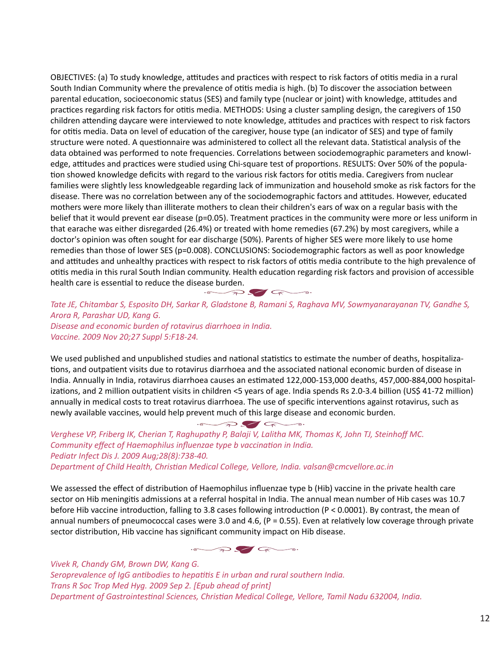OBJECTIVES: (a) To study knowledge, attitudes and practices with respect to risk factors of otitis media in a rural South Indian Community where the prevalence of otitis media is high. (b) To discover the association between parental education, socioeconomic status (SES) and family type (nuclear or joint) with knowledge, attitudes and practices regarding risk factors for otitis media. METHODS: Using a cluster sampling design, the caregivers of 150 children attending daycare were interviewed to note knowledge, attitudes and practices with respect to risk factors for otitis media. Data on level of education of the caregiver, house type (an indicator of SES) and type of family structure were noted. A questionnaire was administered to collect all the relevant data. Statistical analysis of the data obtained was performed to note frequencies. Correlations between sociodemographic parameters and knowledge, attitudes and practices were studied using Chi-square test of proportions. RESULTS: Over 50% of the population showed knowledge deficits with regard to the various risk factors for otitis media. Caregivers from nuclear families were slightly less knowledgeable regarding lack of immunization and household smoke as risk factors for the disease. There was no correlation between any of the sociodemographic factors and attitudes. However, educated mothers were more likely than illiterate mothers to clean their children's ears of wax on a regular basis with the belief that it would prevent ear disease (p=0.05). Treatment practices in the community were more or less uniform in that earache was either disregarded (26.4%) or treated with home remedies (67.2%) by most caregivers, while a doctor's opinion was often sought for ear discharge (50%). Parents of higher SES were more likely to use home remedies than those of lower SES (p=0.008). CONCLUSIONS: Sociodemographic factors as well as poor knowledge and attitudes and unhealthy practices with respect to risk factors of otitis media contribute to the high prevalence of otitis media in this rural South Indian community. Health education regarding risk factors and provision of accessible health care is essential to reduce the disease burden.

*Tate JE, Chitambar S, Esposito DH, Sarkar R, Gladstone B, Ramani S, Raghava MV, Sowmyanarayanan TV, Gandhe S, Arora R, Parashar UD, Kang G. Disease and economic burden of rotavirus diarrhoea in India. Vaccine. 2009 Nov 20;27 Suppl 5:F18-24.*

 $PQQ$ 

We used published and unpublished studies and national statistics to estimate the number of deaths, hospitalizations, and outpatient visits due to rotavirus diarrhoea and the associated national economic burden of disease in India. Annually in India, rotavirus diarrhoea causes an estimated 122,000-153,000 deaths, 457,000-884,000 hospitalizations, and 2 million outpatient visits in children <5 years of age. India spends Rs 2.0-3.4 billion (US\$ 41-72 million) annually in medical costs to treat rotavirus diarrhoea. The use of specific interventions against rotavirus, such as newly available vaccines, would help prevent much of this large disease and economic burden.

 $\overline{\phantom{a}}$ 

*Verghese VP, Friberg IK, Cherian T, Raghupathy P, Balaji V, Lalitha MK, Thomas K, John TJ, Steinhoff MC. Community effect of Haemophilus influenzae type b vaccination in India. Pediatr Infect Dis J. 2009 Aug;28(8):738-40. Department of Child Health, Christian Medical College, Vellore, India. valsan@cmcvellore.ac.in*

 $\mathcal{P}$ 

 $\overline{\cdot}$ 

We assessed the effect of distribution of Haemophilus influenzae type b (Hib) vaccine in the private health care sector on Hib meningitis admissions at a referral hospital in India. The annual mean number of Hib cases was 10.7 before Hib vaccine introduction, falling to 3.8 cases following introduction (P < 0.0001). By contrast, the mean of annual numbers of pneumococcal cases were 3.0 and 4.6, (P = 0.55). Even at relatively low coverage through private sector distribution, Hib vaccine has significant community impact on Hib disease.

 $\sim$ 

*Vivek R, Chandy GM, Brown DW, Kang G. Seroprevalence of IgG antibodies to hepatitis E in urban and rural southern India. Trans R Soc Trop Med Hyg. 2009 Sep 2. [Epub ahead of print] Department of Gastrointestinal Sciences, Christian Medical College, Vellore, Tamil Nadu 632004, India.*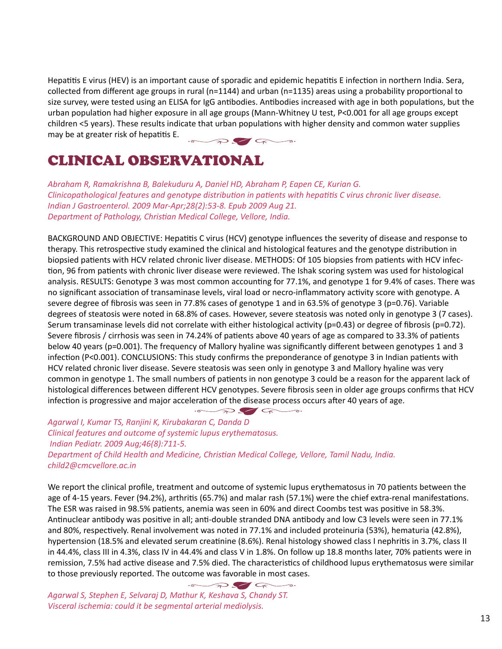Hepatitis E virus (HEV) is an important cause of sporadic and epidemic hepatitis E infection in northern India. Sera, collected from different age groups in rural (n=1144) and urban (n=1135) areas using a probability proportional to size survey, were tested using an ELISA for IgG antibodies. Antibodies increased with age in both populations, but the urban population had higher exposure in all age groups (Mann-Whitney U test, P<0.001 for all age groups except children <5 years). These results indicate that urban populations with higher density and common water supplies may be at greater risk of hepatitis E.  $P = \sqrt{G}$ 

# CLINICAL OBSERVATIONAL

*Abraham R, Ramakrishna B, Balekuduru A, Daniel HD, Abraham P, Eapen CE, Kurian G. Clinicopathological features and genotype distribution in patients with hepatitis C virus chronic liver disease. Indian J Gastroenterol. 2009 Mar-Apr;28(2):53-8. Epub 2009 Aug 21. Department of Pathology, Christian Medical College, Vellore, India.*

BACKGROUND AND OBJECTIVE: Hepatitis C virus (HCV) genotype influences the severity of disease and response to therapy. This retrospective study examined the clinical and histological features and the genotype distribution in biopsied patients with HCV related chronic liver disease. METHODS: Of 105 biopsies from patients with HCV infection, 96 from patients with chronic liver disease were reviewed. The Ishak scoring system was used for histological analysis. RESULTS: Genotype 3 was most common accounting for 77.1%, and genotype 1 for 9.4% of cases. There was no significant association of transaminase levels, viral load or necro-inflammatory activity score with genotype. A severe degree of fibrosis was seen in 77.8% cases of genotype 1 and in 63.5% of genotype 3 (p=0.76). Variable degrees of steatosis were noted in 68.8% of cases. However, severe steatosis was noted only in genotype 3 (7 cases). Serum transaminase levels did not correlate with either histological activity ( $p=0.43$ ) or degree of fibrosis ( $p=0.72$ ). Severe fibrosis / cirrhosis was seen in 74.24% of patients above 40 years of age as compared to 33.3% of patients below 40 years (p=0.001). The frequency of Mallory hyaline was significantly different between genotypes 1 and 3 infection (P<0.001). CONCLUSIONS: This study confirms the preponderance of genotype 3 in Indian patients with HCV related chronic liver disease. Severe steatosis was seen only in genotype 3 and Mallory hyaline was very common in genotype 1. The small numbers of patients in non genotype 3 could be a reason for the apparent lack of histological differences between different HCV genotypes. Severe fibrosis seen in older age groups confirms that HCV infection is progressive and major acceleration of the disease process occurs after 40 years of age.

*Agarwal I, Kumar TS, Ranjini K, Kirubakaran C, Danda D Clinical features and outcome of systemic lupus erythematosus. Indian Pediatr. 2009 Aug;46(8):711-5. Department of Child Health and Medicine, Christian Medical College, Vellore, Tamil Nadu, India. child2@cmcvellore.ac.in*

 $\sim$ 

We report the clinical profile, treatment and outcome of systemic lupus erythematosus in 70 patients between the age of 4-15 years. Fever (94.2%), arthritis (65.7%) and malar rash (57.1%) were the chief extra-renal manifestations. The ESR was raised in 98.5% patients, anemia was seen in 60% and direct Coombs test was positive in 58.3%. Antinuclear antibody was positive in all; anti-double stranded DNA antibody and low C3 levels were seen in 77.1% and 80%, respectively. Renal involvement was noted in 77.1% and included proteinuria (53%), hematuria (42.8%), hypertension (18.5% and elevated serum creatinine (8.6%). Renal histology showed class I nephritis in 3.7%, class II in 44.4%, class III in 4.3%, class IV in 44.4% and class V in 1.8%. On follow up 18.8 months later, 70% patients were in remission, 7.5% had active disease and 7.5% died. The characteristics of childhood lupus erythematosus were similar to those previously reported. The outcome was favorable in most cases.

 $\sim$ *Agarwal S, Stephen E, Selvaraj D, Mathur K, Keshava S, Chandy ST. Visceral ischemia: could it be segmental arterial mediolysis.*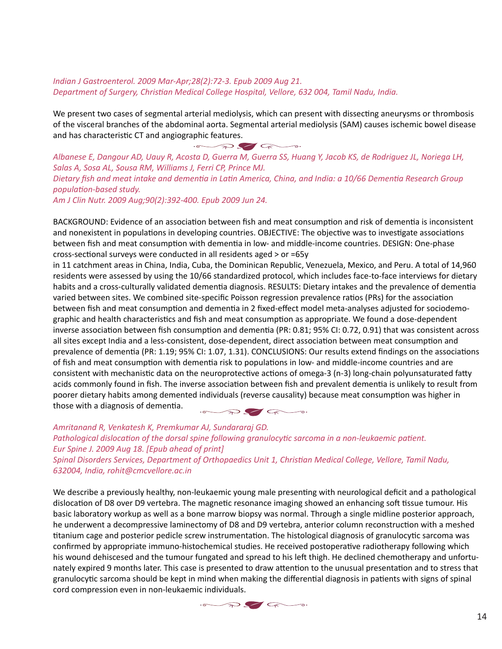#### *Indian J Gastroenterol. 2009 Mar-Apr;28(2):72-3. Epub 2009 Aug 21. Department of Surgery, Christian Medical College Hospital, Vellore, 632 004, Tamil Nadu, India.*

We present two cases of segmental arterial mediolysis, which can present with dissecting aneurysms or thrombosis of the visceral branches of the abdominal aorta. Segmental arterial mediolysis (SAM) causes ischemic bowel disease and has characteristic CT and angiographic features.

*Albanese E, Dangour AD, Uauy R, Acosta D, Guerra M, Guerra SS, Huang Y, Jacob KS, de Rodriguez JL, Noriega LH, Salas A, Sosa AL, Sousa RM, Williams J, Ferri CP, Prince MJ. Dietary fish and meat intake and dementia in Latin America, China, and India: a 10/66 Dementia Research Group population-based study. Am J Clin Nutr. 2009 Aug;90(2):392-400. Epub 2009 Jun 24.*

 $\overline{\mathcal{P}}$ 

BACKGROUND: Evidence of an association between fish and meat consumption and risk of dementia is inconsistent and nonexistent in populations in developing countries. OBJECTIVE: The objective was to investigate associations between fish and meat consumption with dementia in low- and middle-income countries. DESIGN: One-phase cross-sectional surveys were conducted in all residents aged > or =65y

in 11 catchment areas in China, India, Cuba, the Dominican Republic, Venezuela, Mexico, and Peru. A total of 14,960 residents were assessed by using the 10/66 standardized protocol, which includes face-to-face interviews for dietary habits and a cross-culturally validated dementia diagnosis. RESULTS: Dietary intakes and the prevalence of dementia varied between sites. We combined site-specific Poisson regression prevalence ratios (PRs) for the association between fish and meat consumption and dementia in 2 fixed-effect model meta-analyses adjusted for sociodemographic and health characteristics and fish and meat consumption as appropriate. We found a dose-dependent inverse association between fish consumption and dementia (PR: 0.81; 95% CI: 0.72, 0.91) that was consistent across all sites except India and a less-consistent, dose-dependent, direct association between meat consumption and prevalence of dementia (PR: 1.19; 95% CI: 1.07, 1.31). CONCLUSIONS: Our results extend findings on the associations of fish and meat consumption with dementia risk to populations in low- and middle-income countries and are consistent with mechanistic data on the neuroprotective actions of omega-3 (n-3) long-chain polyunsaturated fatty acids commonly found in fish. The inverse association between fish and prevalent dementia is unlikely to result from poorer dietary habits among demented individuals (reverse causality) because meat consumption was higher in those with a diagnosis of dementia.  $\overline{\mathcal{P}}$ 

*Amritanand R, Venkatesh K, Premkumar AJ, Sundararaj GD. Pathological dislocation of the dorsal spine following granulocytic sarcoma in a non-leukaemic patient. Eur Spine J. 2009 Aug 18. [Epub ahead of print] Spinal Disorders Services, Department of Orthopaedics Unit 1, Christian Medical College, Vellore, Tamil Nadu, 632004, India, rohit@cmcvellore.ac.in*

We describe a previously healthy, non-leukaemic young male presenting with neurological deficit and a pathological dislocation of D8 over D9 vertebra. The magnetic resonance imaging showed an enhancing soft tissue tumour. His basic laboratory workup as well as a bone marrow biopsy was normal. Through a single midline posterior approach, he underwent a decompressive laminectomy of D8 and D9 vertebra, anterior column reconstruction with a meshed titanium cage and posterior pedicle screw instrumentation. The histological diagnosis of granulocytic sarcoma was confirmed by appropriate immuno-histochemical studies. He received postoperative radiotherapy following which his wound dehiscesed and the tumour fungated and spread to his left thigh. He declined chemotherapy and unfortunately expired 9 months later. This case is presented to draw attention to the unusual presentation and to stress that granulocytic sarcoma should be kept in mind when making the differential diagnosis in patients with signs of spinal cord compression even in non-leukaemic individuals.

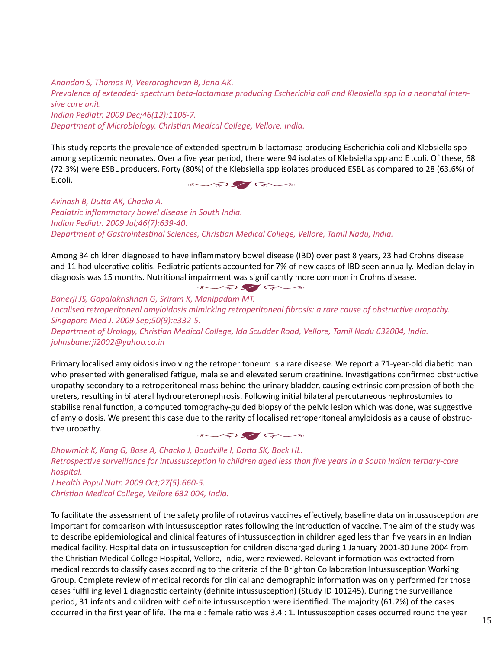*Anandan S, Thomas N, Veeraraghavan B, Jana AK. Prevalence of extended- spectrum beta-lactamase producing Escherichia coli and Klebsiella spp in a neonatal intensive care unit. Indian Pediatr. 2009 Dec;46(12):1106-7. Department of Microbiology, Christian Medical College, Vellore, India.*

This study reports the prevalence of extended-spectrum b-lactamase producing Escherichia coli and Klebsiella spp among septicemic neonates. Over a five year period, there were 94 isolates of Klebsiella spp and E .coli. Of these, 68 (72.3%) were ESBL producers. Forty (80%) of the Klebsiella spp isolates produced ESBL as compared to 28 (63.6%) of E.coli.  $\overline{\mathcal{P}}$ 

*Avinash B, Dutta AK, Chacko A. Pediatric inflammatory bowel disease in South India. Indian Pediatr. 2009 Jul;46(7):639-40. Department of Gastrointestinal Sciences, Christian Medical College, Vellore, Tamil Nadu, India.*

Among 34 children diagnosed to have inflammatory bowel disease (IBD) over past 8 years, 23 had Crohns disease and 11 had ulcerative colitis. Pediatric patients accounted for 7% of new cases of IBD seen annually. Median delay in diagnosis was 15 months. Nutritional impairment was significantly more common in Crohns disease.

*Banerji JS, Gopalakrishnan G, Sriram K, Manipadam MT. Localised retroperitoneal amyloidosis mimicking retroperitoneal fibrosis: a rare cause of obstructive uropathy. Singapore Med J. 2009 Sep;50(9):e332-5. Department of Urology, Christian Medical College, Ida Scudder Road, Vellore, Tamil Nadu 632004, India. johnsbanerji2002@yahoo.co.in*

 $\overline{\mathcal{P}}$ 

Primary localised amyloidosis involving the retroperitoneum is a rare disease. We report a 71-year-old diabetic man who presented with generalised fatigue, malaise and elevated serum creatinine. Investigations confirmed obstructive uropathy secondary to a retroperitoneal mass behind the urinary bladder, causing extrinsic compression of both the ureters, resulting in bilateral hydroureteronephrosis. Following initial bilateral percutaneous nephrostomies to stabilise renal function, a computed tomography-guided biopsy of the pelvic lesion which was done, was suggestive of amyloidosis. We present this case due to the rarity of localised retroperitoneal amyloidosis as a cause of obstructive uropathy.



*Bhowmick K, Kang G, Bose A, Chacko J, Boudville I, Datta SK, Bock HL. Retrospective surveillance for intussusception in children aged less than five years in a South Indian tertiary-care hospital.*

*J Health Popul Nutr. 2009 Oct;27(5):660-5. Christian Medical College, Vellore 632 004, India.*

To facilitate the assessment of the safety profile of rotavirus vaccines effectively, baseline data on intussusception are important for comparison with intussusception rates following the introduction of vaccine. The aim of the study was to describe epidemiological and clinical features of intussusception in children aged less than five years in an Indian medical facility. Hospital data on intussusception for children discharged during 1 January 2001-30 June 2004 from the Christian Medical College Hospital, Vellore, India, were reviewed. Relevant information was extracted from medical records to classify cases according to the criteria of the Brighton Collaboration Intussusception Working Group. Complete review of medical records for clinical and demographic information was only performed for those cases fulfilling level 1 diagnostic certainty (definite intussusception) (Study ID 101245). During the surveillance period, 31 infants and children with definite intussusception were identified. The majority (61.2%) of the cases occurred in the first year of life. The male : female ratio was 3.4 : 1. Intussusception cases occurred round the year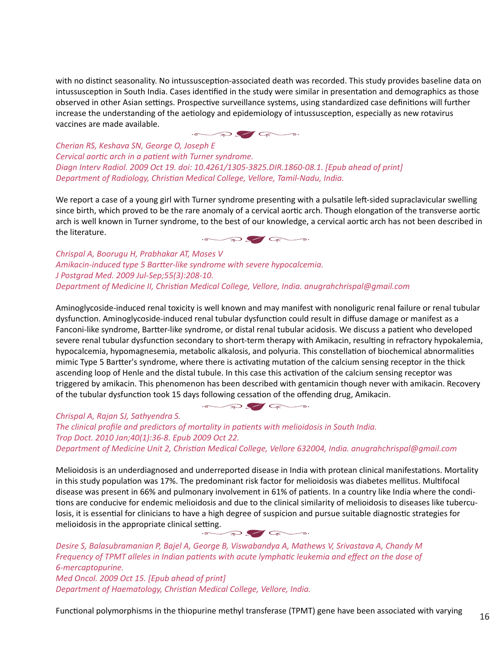with no distinct seasonality. No intussusception-associated death was recorded. This study provides baseline data on intussusception in South India. Cases identified in the study were similar in presentation and demographics as those observed in other Asian settings. Prospective surveillance systems, using standardized case definitions will further increase the understanding of the aetiology and epidemiology of intussusception, especially as new rotavirus vaccines are made available.  $\mathcal{P}$ 

*Cherian RS, Keshava SN, George O, Joseph E Cervical aortic arch in a patient with Turner syndrome. Diagn Interv Radiol. 2009 Oct 19. doi: 10.4261/1305-3825.DIR.1860-08.1. [Epub ahead of print] Department of Radiology, Christian Medical College, Vellore, Tamil-Nadu, India.*

We report a case of a young girl with Turner syndrome presenting with a pulsatile left-sided supraclavicular swelling since birth, which proved to be the rare anomaly of a cervical aortic arch. Though elongation of the transverse aortic arch is well known in Turner syndrome, to the best of our knowledge, a cervical aortic arch has not been described in the literature.  $\overline{\mathcal{P}}$ 

*Chrispal A, Boorugu H, Prabhakar AT, Moses V Amikacin-induced type 5 Bartter-like syndrome with severe hypocalcemia. J Postgrad Med. 2009 Jul-Sep;55(3):208-10. Department of Medicine II, Christian Medical College, Vellore, India. anugrahchrispal@gmail.com*

Aminoglycoside-induced renal toxicity is well known and may manifest with nonoliguric renal failure or renal tubular dysfunction. Aminoglycoside-induced renal tubular dysfunction could result in diffuse damage or manifest as a Fanconi-like syndrome, Bartter-like syndrome, or distal renal tubular acidosis. We discuss a patient who developed severe renal tubular dysfunction secondary to short-term therapy with Amikacin, resulting in refractory hypokalemia, hypocalcemia, hypomagnesemia, metabolic alkalosis, and polyuria. This constellation of biochemical abnormalities mimic Type 5 Bartter's syndrome, where there is activating mutation of the calcium sensing receptor in the thick ascending loop of Henle and the distal tubule. In this case this activation of the calcium sensing receptor was triggered by amikacin. This phenomenon has been described with gentamicin though never with amikacin. Recovery of the tubular dysfunction took 15 days following cessation of the offending drug, Amikacin.

*Chrispal A, Rajan SJ, Sathyendra S. The clinical profile and predictors of mortality in patients with melioidosis in South India. Trop Doct. 2010 Jan;40(1):36-8. Epub 2009 Oct 22. Department of Medicine Unit 2, Christian Medical College, Vellore 632004, India. anugrahchrispal@gmail.com*

 $\sim$ 

Melioidosis is an underdiagnosed and underreported disease in India with protean clinical manifestations. Mortality in this study population was 17%. The predominant risk factor for melioidosis was diabetes mellitus. Multifocal disease was present in 66% and pulmonary involvement in 61% of patients. In a country like India where the conditions are conducive for endemic melioidosis and due to the clinical similarity of melioidosis to diseases like tuberculosis, it is essential for clinicians to have a high degree of suspicion and pursue suitable diagnostic strategies for melioidosis in the appropriate clinical setting.  $P.$ 

*Desire S, Balasubramanian P, Bajel A, George B, Viswabandya A, Mathews V, Srivastava A, Chandy M Frequency of TPMT alleles in Indian patients with acute lymphatic leukemia and effect on the dose of 6-mercaptopurine. Med Oncol. 2009 Oct 15. [Epub ahead of print] Department of Haematology, Christian Medical College, Vellore, India.*

Functional polymorphisms in the thiopurine methyl transferase (TPMT) gene have been associated with varying 16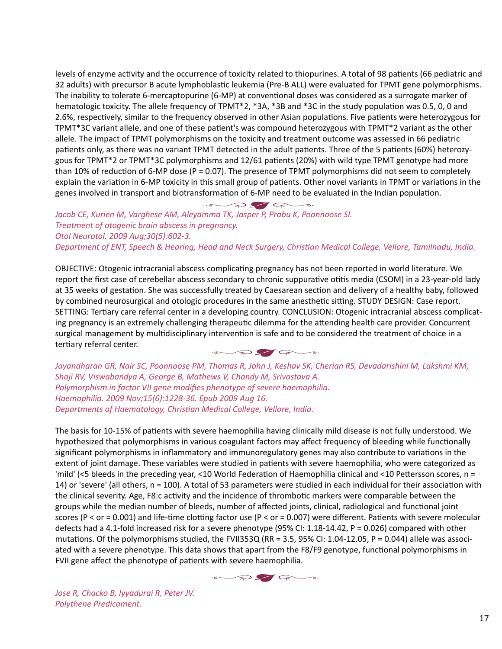levels of enzyme activity and the occurrence of toxicity related to thiopurines. A total of 98 patients (66 pediatric and 32 adults) with precursor B acute lymphoblastic leukemia (Pre-B ALL) were evaluated for TPMT gene polymorphisms. The inability to tolerate 6-mercaptopurine (6-MP) at conventional doses was considered as a surrogate marker of hematologic toxicity. The allele frequency of TPMT\*2, \*3A, \*3B and \*3C in the study population was 0.5, 0, 0 and 2.6%, respectively, similar to the frequency observed in other Asian populations. Five patients were heterozygous for TPMT\*3C variant allele, and one of these patient's was compound heterozygous with TPMT\*2 variant as the other allele. The impact of TPMT polymorphisms on the toxicity and treatment outcome was assessed in 66 pediatric patients only, as there was no variant TPMT detected in the adult patients. Three of the 5 patients (60%) heterozygous for TPMT\*2 or TPMT\*3C polymorphisms and 12/61 patients (20%) with wild type TPMT genotype had more than 10% of reduction of 6-MP dose (P = 0.07). The presence of TPMT polymorphisms did not seem to completely explain the variation in 6-MP toxicity in this small group of patients. Other novel variants in TPMT or variations in the genes involved in transport and biotransformation of 6-MP need to be evaluated in the Indian population.

 $\overline{R}$ *Jacob CE, Kurien M, Varghese AM, Aleyamma TK, Jasper P, Prabu K, Poonnoose SI. Treatment of otogenic brain abscess in pregnancy. Otol Neurotol. 2009 Aug;30(5):602-3. Department of ENT, Speech & Hearing, Head and Neck Surgery, Christian Medical College, Vellore, Tamilnadu, India.*

OBJECTIVE: Otogenic intracranial abscess complicating pregnancy has not been reported in world literature. We report the first case of cerebellar abscess secondary to chronic suppurative otitis media (CSOM) in a 23-year-old lady at 35 weeks of gestation. She was successfully treated by Caesarean section and delivery of a healthy baby, followed by combined neurosurgical and otologic procedures in the same anesthetic sitting. STUDY DESIGN: Case report. SETTING: Tertiary care referral center in a developing country. CONCLUSION: Otogenic intracranial abscess complicating pregnancy is an extremely challenging therapeutic dilemma for the attending health care provider. Concurrent surgical management by multidisciplinary intervention is safe and to be considered the treatment of choice in a tertiary referral center.



*Jayandharan GR, Nair SC, Poonnoose PM, Thomas R, John J, Keshav SK, Cherian RS, Devadarishini M, Lakshmi KM, Shaji RV, Viswabandya A, George B, Mathews V, Chandy M, Srivastava A. Polymorphism in factor VII gene modifies phenotype of severe haemophilia. Haemophilia. 2009 Nov;15(6):1228-36. Epub 2009 Aug 16. Departments of Haematology, Christian Medical College, Vellore, India.*

The basis for 10-15% of patients with severe haemophilia having clinically mild disease is not fully understood. We hypothesized that polymorphisms in various coagulant factors may affect frequency of bleeding while functionally significant polymorphisms in inflammatory and immunoregulatory genes may also contribute to variations in the extent of joint damage. These variables were studied in patients with severe haemophilia, who were categorized as 'mild' (<5 bleeds in the preceding year, <10 World Federation of Haemophilia clinical and <10 Pettersson scores, n = 14) or 'severe' (all others, n = 100). A total of 53 parameters were studied in each individual for their association with the clinical severity. Age, F8:c activity and the incidence of thrombotic markers were comparable between the groups while the median number of bleeds, number of affected joints, clinical, radiological and functional joint scores (P < or = 0.001) and life-time clotting factor use (P < or = 0.007) were different. Patients with severe molecular defects had a 4.1-fold increased risk for a severe phenotype (95% CI: 1.18-14.42, P = 0.026) compared with other mutations. Of the polymorphisms studied, the FVII353Q (RR = 3.5, 95% CI: 1.04-12.05, P = 0.044) allele was associated with a severe phenotype. This data shows that apart from the F8/F9 genotype, functional polymorphisms in FVII gene affect the phenotype of patients with severe haemophilia.



*Jose R, Chacko B, Iyyadurai R, Peter JV. Polythene Predicament.*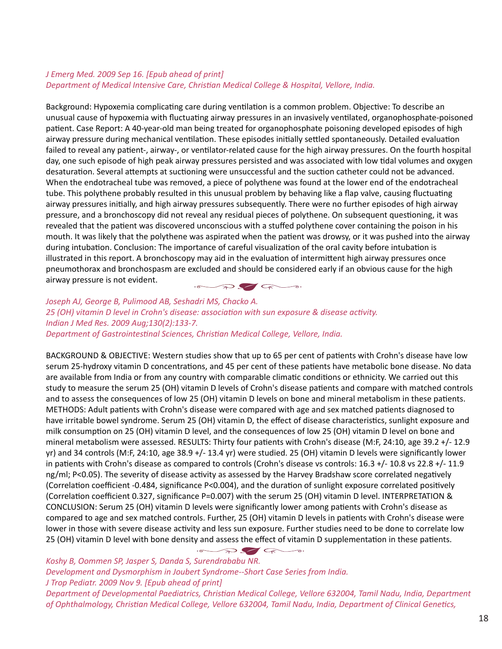#### *J Emerg Med. 2009 Sep 16. [Epub ahead of print] Department of Medical Intensive Care, Christian Medical College & Hospital, Vellore, India.*

Background: Hypoxemia complicating care during ventilation is a common problem. Objective: To describe an unusual cause of hypoxemia with fluctuating airway pressures in an invasively ventilated, organophosphate-poisoned patient. Case Report: A 40-year-old man being treated for organophosphate poisoning developed episodes of high airway pressure during mechanical ventilation. These episodes initially settled spontaneously. Detailed evaluation failed to reveal any patient-, airway-, or ventilator-related cause for the high airway pressures. On the fourth hospital day, one such episode of high peak airway pressures persisted and was associated with low tidal volumes and oxygen desaturation. Several attempts at suctioning were unsuccessful and the suction catheter could not be advanced. When the endotracheal tube was removed, a piece of polythene was found at the lower end of the endotracheal tube. This polythene probably resulted in this unusual problem by behaving like a flap valve, causing fluctuating airway pressures initially, and high airway pressures subsequently. There were no further episodes of high airway pressure, and a bronchoscopy did not reveal any residual pieces of polythene. On subsequent questioning, it was revealed that the patient was discovered unconscious with a stuffed polythene cover containing the poison in his mouth. It was likely that the polythene was aspirated when the patient was drowsy, or it was pushed into the airway during intubation. Conclusion: The importance of careful visualization of the oral cavity before intubation is illustrated in this report. A bronchoscopy may aid in the evaluation of intermittent high airway pressures once pneumothorax and bronchospasm are excluded and should be considered early if an obvious cause for the high airway pressure is not evident.  $\sim$ 

*Joseph AJ, George B, Pulimood AB, Seshadri MS, Chacko A. 25 (OH) vitamin D level in Crohn's disease: association with sun exposure & disease activity. Indian J Med Res. 2009 Aug;130(2):133-7. Department of Gastrointestinal Sciences, Christian Medical College, Vellore, India.*

BACKGROUND & OBJECTIVE: Western studies show that up to 65 per cent of patients with Crohn's disease have low serum 25-hydroxy vitamin D concentrations, and 45 per cent of these patients have metabolic bone disease. No data are available from India or from any country with comparable climatic conditions or ethnicity. We carried out this study to measure the serum 25 (OH) vitamin D levels of Crohn's disease patients and compare with matched controls and to assess the consequences of low 25 (OH) vitamin D levels on bone and mineral metabolism in these patients. METHODS: Adult patients with Crohn's disease were compared with age and sex matched patients diagnosed to have irritable bowel syndrome. Serum 25 (OH) vitamin D, the effect of disease characteristics, sunlight exposure and milk consumption on 25 (OH) vitamin D level, and the consequences of low 25 (OH) vitamin D level on bone and mineral metabolism were assessed. RESULTS: Thirty four patients with Crohn's disease (M:F, 24:10, age 39.2 +/- 12.9 yr) and 34 controls (M:F, 24:10, age 38.9 +/- 13.4 yr) were studied. 25 (OH) vitamin D levels were significantly lower in patients with Crohn's disease as compared to controls (Crohn's disease vs controls: 16.3 +/- 10.8 vs 22.8 +/- 11.9 ng/ml; P<0.05). The severity of disease activity as assessed by the Harvey Bradshaw score correlated negatively (Correlation coefficient -0.484, significance P<0.004), and the duration of sunlight exposure correlated positively (Correlation coefficient 0.327, significance P=0.007) with the serum 25 (OH) vitamin D level. INTERPRETATION & CONCLUSION: Serum 25 (OH) vitamin D levels were significantly lower among patients with Crohn's disease as compared to age and sex matched controls. Further, 25 (OH) vitamin D levels in patients with Crohn's disease were lower in those with severe disease activity and less sun exposure. Further studies need to be done to correlate low 25 (OH) vitamin D level with bone density and assess the effect of vitamin D supplementation in these patients.  $\overline{P}$ 

*Koshy B, Oommen SP, Jasper S, Danda S, Surendrababu NR. Development and Dysmorphism in Joubert Syndrome--Short Case Series from India. J Trop Pediatr. 2009 Nov 9. [Epub ahead of print] Department of Developmental Paediatrics, Christian Medical College, Vellore 632004, Tamil Nadu, India, Department of Ophthalmology, Christian Medical College, Vellore 632004, Tamil Nadu, India, Department of Clinical Genetics,*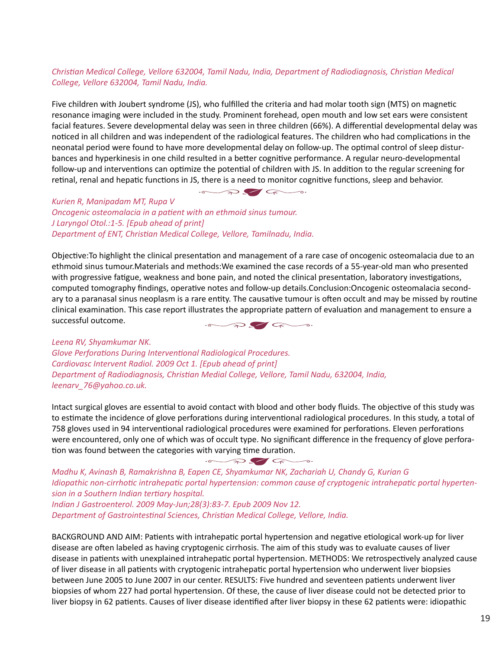#### *Christian Medical College, Vellore 632004, Tamil Nadu, India, Department of Radiodiagnosis, Christian Medical College, Vellore 632004, Tamil Nadu, India.*

Five children with Joubert syndrome (JS), who fulfilled the criteria and had molar tooth sign (MTS) on magnetic resonance imaging were included in the study. Prominent forehead, open mouth and low set ears were consistent facial features. Severe developmental delay was seen in three children (66%). A differential developmental delay was noticed in all children and was independent of the radiological features. The children who had complications in the neonatal period were found to have more developmental delay on follow-up. The optimal control of sleep disturbances and hyperkinesis in one child resulted in a better cognitive performance. A regular neuro-developmental follow-up and interventions can optimize the potential of children with JS. In addition to the regular screening for retinal, renal and hepatic functions in JS, there is a need to monitor cognitive functions, sleep and behavior.

 $\cdot \infty$ 

*Kurien R, Manipadam MT, Rupa V Oncogenic osteomalacia in a patient with an ethmoid sinus tumour. J Laryngol Otol.:1-5. [Epub ahead of print] Department of ENT, Christian Medical College, Vellore, Tamilnadu, India.*

Objective:To highlight the clinical presentation and management of a rare case of oncogenic osteomalacia due to an ethmoid sinus tumour.Materials and methods:We examined the case records of a 55-year-old man who presented with progressive fatigue, weakness and bone pain, and noted the clinical presentation, laboratory investigations, computed tomography findings, operative notes and follow-up details.Conclusion:Oncogenic osteomalacia secondary to a paranasal sinus neoplasm is a rare entity. The causative tumour is often occult and may be missed by routine clinical examination. This case report illustrates the appropriate pattern of evaluation and management to ensure a successful outcome.



*Leena RV, Shyamkumar NK. Glove Perforations During Interventional Radiological Procedures. Cardiovasc Intervent Radiol. 2009 Oct 1. [Epub ahead of print] Department of Radiodiagnosis, Christian Medial College, Vellore, Tamil Nadu, 632004, India, leenarv\_76@yahoo.co.uk.*

Intact surgical gloves are essential to avoid contact with blood and other body fluids. The objective of this study was to estimate the incidence of glove perforations during interventional radiological procedures. In this study, a total of 758 gloves used in 94 interventional radiological procedures were examined for perforations. Eleven perforations were encountered, only one of which was of occult type. No significant difference in the frequency of glove perforation was found between the categories with varying time duration.

 $\cdot \circ \rightarrow \bullet \bullet \bullet$ 

*Madhu K, Avinash B, Ramakrishna B, Eapen CE, Shyamkumar NK, Zachariah U, Chandy G, Kurian G Idiopathic non-cirrhotic intrahepatic portal hypertension: common cause of cryptogenic intrahepatic portal hypertension in a Southern Indian tertiary hospital.*

*Indian J Gastroenterol. 2009 May-Jun;28(3):83-7. Epub 2009 Nov 12. Department of Gastrointestinal Sciences, Christian Medical College, Vellore, India.*

BACKGROUND AND AIM: Patients with intrahepatic portal hypertension and negative etiological work-up for liver disease are often labeled as having cryptogenic cirrhosis. The aim of this study was to evaluate causes of liver disease in patients with unexplained intrahepatic portal hypertension. METHODS: We retrospectively analyzed cause of liver disease in all patients with cryptogenic intrahepatic portal hypertension who underwent liver biopsies between June 2005 to June 2007 in our center. RESULTS: Five hundred and seventeen patients underwent liver biopsies of whom 227 had portal hypertension. Of these, the cause of liver disease could not be detected prior to liver biopsy in 62 patients. Causes of liver disease identified after liver biopsy in these 62 patients were: idiopathic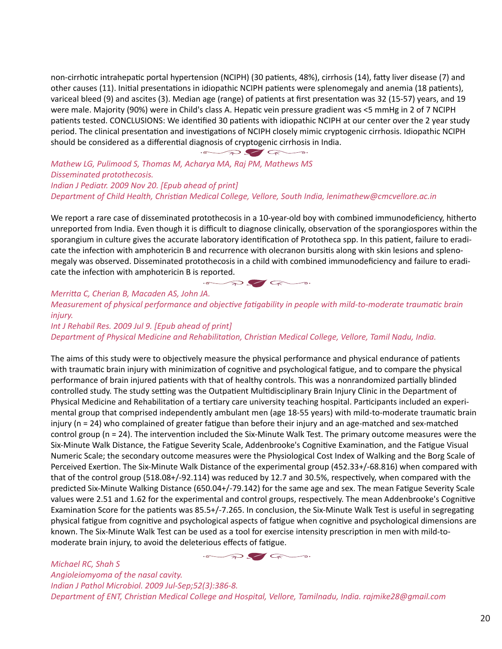non-cirrhotic intrahepatic portal hypertension (NCIPH) (30 patients, 48%), cirrhosis (14), fatty liver disease (7) and other causes (11). Initial presentations in idiopathic NCIPH patients were splenomegaly and anemia (18 patients), variceal bleed (9) and ascites (3). Median age (range) of patients at first presentation was 32 (15-57) years, and 19 were male. Majority (90%) were in Child's class A. Hepatic vein pressure gradient was <5 mmHg in 2 of 7 NCIPH patients tested. CONCLUSIONS: We identified 30 patients with idiopathic NCIPH at our center over the 2 year study period. The clinical presentation and investigations of NCIPH closely mimic cryptogenic cirrhosis. Idiopathic NCIPH should be considered as a differential diagnosis of cryptogenic cirrhosis in India.

 $\overline{\mathcal{P}}$ 

*Mathew LG, Pulimood S, Thomas M, Acharya MA, Raj PM, Mathews MS Disseminated protothecosis. Indian J Pediatr. 2009 Nov 20. [Epub ahead of print] Department of Child Health, Christian Medical College, Vellore, South India, lenimathew@cmcvellore.ac.in*

We report a rare case of disseminated protothecosis in a 10-year-old boy with combined immunodeficiency, hitherto unreported from India. Even though it is difficult to diagnose clinically, observation of the sporangiospores within the sporangium in culture gives the accurate laboratory identification of Prototheca spp. In this patient, failure to eradicate the infection with amphotericin B and recurrence with olecranon bursitis along with skin lesions and splenomegaly was observed. Disseminated protothecosis in a child with combined immunodeficiency and failure to eradicate the infection with amphotericin B is reported.

*Merritta C, Cherian B, Macaden AS, John JA.*

*Measurement of physical performance and objective fatigability in people with mild-to-moderate traumatic brain injury.*

 $\overline{\mathcal{P}}$ 

*Int J Rehabil Res. 2009 Jul 9. [Epub ahead of print] Department of Physical Medicine and Rehabilitation, Christian Medical College, Vellore, Tamil Nadu, India.*

The aims of this study were to objectively measure the physical performance and physical endurance of patients with traumatic brain injury with minimization of cognitive and psychological fatigue, and to compare the physical performance of brain injured patients with that of healthy controls. This was a nonrandomized partially blinded controlled study. The study setting was the Outpatient Multidisciplinary Brain Injury Clinic in the Department of Physical Medicine and Rehabilitation of a tertiary care university teaching hospital. Participants included an experimental group that comprised independently ambulant men (age 18-55 years) with mild-to-moderate traumatic brain injury (n = 24) who complained of greater fatigue than before their injury and an age-matched and sex-matched control group (n = 24). The intervention included the Six-Minute Walk Test. The primary outcome measures were the Six-Minute Walk Distance, the Fatigue Severity Scale, Addenbrooke's Cognitive Examination, and the Fatigue Visual Numeric Scale; the secondary outcome measures were the Physiological Cost Index of Walking and the Borg Scale of Perceived Exertion. The Six-Minute Walk Distance of the experimental group (452.33+/-68.816) when compared with that of the control group (518.08+/-92.114) was reduced by 12.7 and 30.5%, respectively, when compared with the predicted Six-Minute Walking Distance (650.04+/-79.142) for the same age and sex. The mean Fatigue Severity Scale values were 2.51 and 1.62 for the experimental and control groups, respectively. The mean Addenbrooke's Cognitive Examination Score for the patients was 85.5+/-7.265. In conclusion, the Six-Minute Walk Test is useful in segregating physical fatigue from cognitive and psychological aspects of fatigue when cognitive and psychological dimensions are known. The Six-Minute Walk Test can be used as a tool for exercise intensity prescription in men with mild-tomoderate brain injury, to avoid the deleterious effects of fatigue.

*Michael RC, Shah S*



*Angioleiomyoma of the nasal cavity. Indian J Pathol Microbiol. 2009 Jul-Sep;52(3):386-8. Department of ENT, Christian Medical College and Hospital, Vellore, Tamilnadu, India. rajmike28@gmail.com*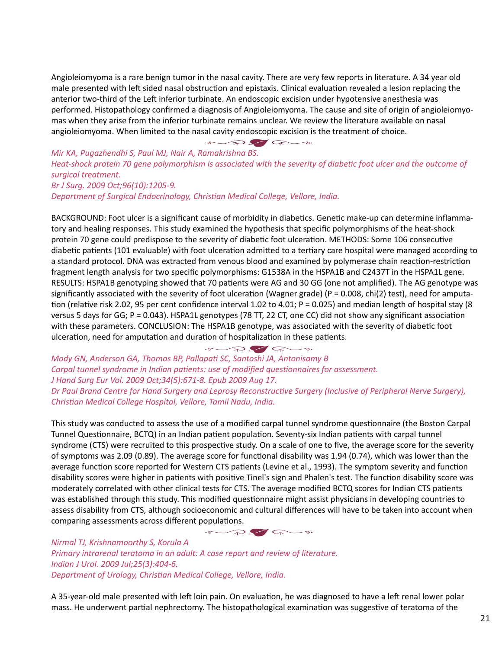Angioleiomyoma is a rare benign tumor in the nasal cavity. There are very few reports in literature. A 34 year old male presented with left sided nasal obstruction and epistaxis. Clinical evaluation revealed a lesion replacing the anterior two-third of the Left inferior turbinate. An endoscopic excision under hypotensive anesthesia was performed. Histopathology confirmed a diagnosis of Angioleiomyoma. The cause and site of origin of angioleiomyomas when they arise from the inferior turbinate remains unclear. We review the literature available on nasal angioleiomyoma. When limited to the nasal cavity endoscopic excision is the treatment of choice.

*Mir KA, Pugazhendhi S, Paul MJ, Nair A, Ramakrishna BS. Heat-shock protein 70 gene polymorphism is associated with the severity of diabetic foot ulcer and the outcome of surgical treatment. Br J Surg. 2009 Oct;96(10):1205-9. Department of Surgical Endocrinology, Christian Medical College, Vellore, India.*

 $\overline{\mathcal{P}}$ 

BACKGROUND: Foot ulcer is a significant cause of morbidity in diabetics. Genetic make-up can determine inflammatory and healing responses. This study examined the hypothesis that specific polymorphisms of the heat-shock protein 70 gene could predispose to the severity of diabetic foot ulceration. METHODS: Some 106 consecutive diabetic patients (101 evaluable) with foot ulceration admitted to a tertiary care hospital were managed according to a standard protocol. DNA was extracted from venous blood and examined by polymerase chain reaction-restriction fragment length analysis for two specific polymorphisms: G1538A in the HSPA1B and C2437T in the HSPA1L gene. RESULTS: HSPA1B genotyping showed that 70 patients were AG and 30 GG (one not amplified). The AG genotype was significantly associated with the severity of foot ulceration (Wagner grade) ( $P = 0.008$ , chi(2) test), need for amputation (relative risk 2.02, 95 per cent confidence interval 1.02 to 4.01; P = 0.025) and median length of hospital stay (8 versus 5 days for GG; P = 0.043). HSPA1L genotypes (78 TT, 22 CT, one CC) did not show any significant association with these parameters. CONCLUSION: The HSPA1B genotype, was associated with the severity of diabetic foot ulceration, need for amputation and duration of hospitalization in these patients.

 $\overline{\phantom{a}}$ 

*Mody GN, Anderson GA, Thomas BP, Pallapati SC, Santoshi JA, Antonisamy B Carpal tunnel syndrome in Indian patients: use of modified questionnaires for assessment. J Hand Surg Eur Vol. 2009 Oct;34(5):671-8. Epub 2009 Aug 17. Dr Paul Brand Centre for Hand Surgery and Leprosy Reconstructive Surgery (Inclusive of Peripheral Nerve Surgery), Christian Medical College Hospital, Vellore, Tamil Nadu, India.*

This study was conducted to assess the use of a modified carpal tunnel syndrome questionnaire (the Boston Carpal Tunnel Questionnaire, BCTQ) in an Indian patient population. Seventy-six Indian patients with carpal tunnel syndrome (CTS) were recruited to this prospective study. On a scale of one to five, the average score for the severity of symptoms was 2.09 (0.89). The average score for functional disability was 1.94 (0.74), which was lower than the average function score reported for Western CTS patients (Levine et al., 1993). The symptom severity and function disability scores were higher in patients with positive Tinel's sign and Phalen's test. The function disability score was moderately correlated with other clinical tests for CTS. The average modified BCTQ scores for Indian CTS patients was established through this study. This modified questionnaire might assist physicians in developing countries to assess disability from CTS, although socioeconomic and cultural differences will have to be taken into account when comparing assessments across different populations.



*Nirmal TJ, Krishnamoorthy S, Korula A Primary intrarenal teratoma in an adult: A case report and review of literature. Indian J Urol. 2009 Jul;25(3):404-6. Department of Urology, Christian Medical College, Vellore, India.*

A 35-year-old male presented with left loin pain. On evaluation, he was diagnosed to have a left renal lower polar mass. He underwent partial nephrectomy. The histopathological examination was suggestive of teratoma of the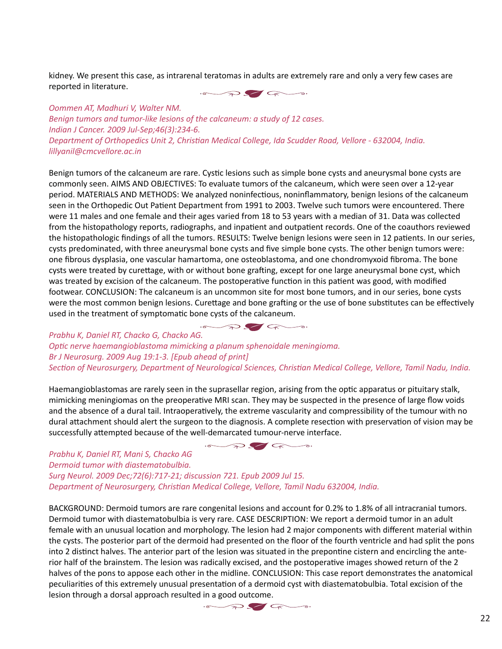kidney. We present this case, as intrarenal teratomas in adults are extremely rare and only a very few cases are reported in literature.  $\mathcal{P}$ 

*Oommen AT, Madhuri V, Walter NM. Benign tumors and tumor-like lesions of the calcaneum: a study of 12 cases. Indian J Cancer. 2009 Jul-Sep;46(3):234-6. Department of Orthopedics Unit 2, Christian Medical College, Ida Scudder Road, Vellore - 632004, India. lillyanil@cmcvellore.ac.in*

Benign tumors of the calcaneum are rare. Cystic lesions such as simple bone cysts and aneurysmal bone cysts are commonly seen. AIMS AND OBJECTIVES: To evaluate tumors of the calcaneum, which were seen over a 12-year period. MATERIALS AND METHODS: We analyzed noninfectious, noninflammatory, benign lesions of the calcaneum seen in the Orthopedic Out Patient Department from 1991 to 2003. Twelve such tumors were encountered. There were 11 males and one female and their ages varied from 18 to 53 years with a median of 31. Data was collected from the histopathology reports, radiographs, and inpatient and outpatient records. One of the coauthors reviewed the histopathologic findings of all the tumors. RESULTS: Twelve benign lesions were seen in 12 patients. In our series, cysts predominated, with three aneurysmal bone cysts and five simple bone cysts. The other benign tumors were: one fibrous dysplasia, one vascular hamartoma, one osteoblastoma, and one chondromyxoid fibroma. The bone cysts were treated by curettage, with or without bone grafting, except for one large aneurysmal bone cyst, which was treated by excision of the calcaneum. The postoperative function in this patient was good, with modified footwear. CONCLUSION: The calcaneum is an uncommon site for most bone tumors, and in our series, bone cysts were the most common benign lesions. Curettage and bone grafting or the use of bone substitutes can be effectively used in the treatment of symptomatic bone cysts of the calcaneum.

*Prabhu K, Daniel RT, Chacko G, Chacko AG.*

*Optic nerve haemangioblastoma mimicking a planum sphenoidale meningioma. Br J Neurosurg. 2009 Aug 19:1-3. [Epub ahead of print] Section of Neurosurgery, Department of Neurological Sciences, Christian Medical College, Vellore, Tamil Nadu, India.*

 $\overline{\mathcal{P}}$ 

Haemangioblastomas are rarely seen in the suprasellar region, arising from the optic apparatus or pituitary stalk, mimicking meningiomas on the preoperative MRI scan. They may be suspected in the presence of large flow voids and the absence of a dural tail. Intraoperatively, the extreme vascularity and compressibility of the tumour with no dural attachment should alert the surgeon to the diagnosis. A complete resection with preservation of vision may be successfully attempted because of the well-demarcated tumour-nerve interface.

 $\overline{\mathcal{P}}$ 

*Prabhu K, Daniel RT, Mani S, Chacko AG Dermoid tumor with diastematobulbia. Surg Neurol. 2009 Dec;72(6):717-21; discussion 721. Epub 2009 Jul 15. Department of Neurosurgery, Christian Medical College, Vellore, Tamil Nadu 632004, India.*

BACKGROUND: Dermoid tumors are rare congenital lesions and account for 0.2% to 1.8% of all intracranial tumors. Dermoid tumor with diastematobulbia is very rare. CASE DESCRIPTION: We report a dermoid tumor in an adult female with an unusual location and morphology. The lesion had 2 major components with different material within the cysts. The posterior part of the dermoid had presented on the floor of the fourth ventricle and had split the pons into 2 distinct halves. The anterior part of the lesion was situated in the prepontine cistern and encircling the anterior half of the brainstem. The lesion was radically excised, and the postoperative images showed return of the 2 halves of the pons to appose each other in the midline. CONCLUSION: This case report demonstrates the anatomical peculiarities of this extremely unusual presentation of a dermoid cyst with diastematobulbia. Total excision of the lesion through a dorsal approach resulted in a good outcome.

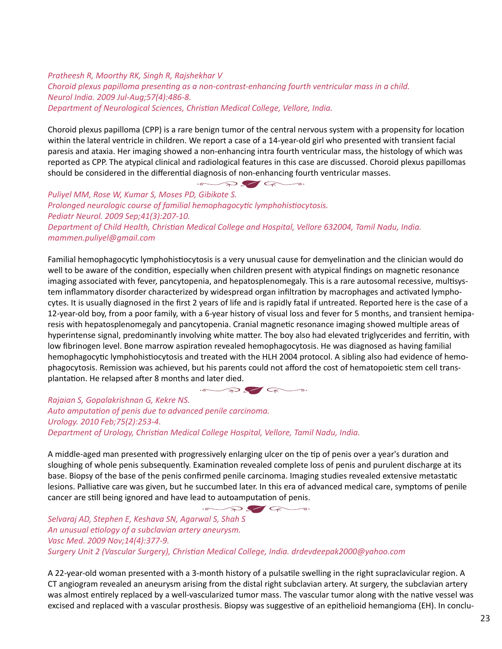*Pratheesh R, Moorthy RK, Singh R, Rajshekhar V Choroid plexus papilloma presenting as a non-contrast-enhancing fourth ventricular mass in a child. Neurol India. 2009 Jul-Aug;57(4):486-8. Department of Neurological Sciences, Christian Medical College, Vellore, India.*

Choroid plexus papilloma (CPP) is a rare benign tumor of the central nervous system with a propensity for location within the lateral ventricle in children. We report a case of a 14-year-old girl who presented with transient facial paresis and ataxia. Her imaging showed a non-enhancing intra fourth ventricular mass, the histology of which was reported as CPP. The atypical clinical and radiological features in this case are discussed. Choroid plexus papillomas should be considered in the differential diagnosis of non-enhancing fourth ventricular masses.

 $\overline{\mathcal{P}}$ 

*Puliyel MM, Rose W, Kumar S, Moses PD, Gibikote S. Prolonged neurologic course of familial hemophagocytic lymphohistiocytosis. Pediatr Neurol. 2009 Sep;41(3):207-10. Department of Child Health, Christian Medical College and Hospital, Vellore 632004, Tamil Nadu, India. mammen.puliyel@gmail.com*

Familial hemophagocytic lymphohistiocytosis is a very unusual cause for demyelination and the clinician would do well to be aware of the condition, especially when children present with atypical findings on magnetic resonance imaging associated with fever, pancytopenia, and hepatosplenomegaly. This is a rare autosomal recessive, multisystem inflammatory disorder characterized by widespread organ infiltration by macrophages and activated lymphocytes. It is usually diagnosed in the first 2 years of life and is rapidly fatal if untreated. Reported here is the case of a 12-year-old boy, from a poor family, with a 6-year history of visual loss and fever for 5 months, and transient hemiparesis with hepatosplenomegaly and pancytopenia. Cranial magnetic resonance imaging showed multiple areas of hyperintense signal, predominantly involving white matter. The boy also had elevated triglycerides and ferritin, with low fibrinogen level. Bone marrow aspiration revealed hemophagocytosis. He was diagnosed as having familial hemophagocytic lymphohistiocytosis and treated with the HLH 2004 protocol. A sibling also had evidence of hemophagocytosis. Remission was achieved, but his parents could not afford the cost of hematopoietic stem cell transplantation. He relapsed after 8 months and later died.

*Rajaian S, Gopalakrishnan G, Kekre NS.*

*Auto amputation of penis due to advanced penile carcinoma. Urology. 2010 Feb;75(2):253-4. Department of Urology, Christian Medical College Hospital, Vellore, Tamil Nadu, India.*

A middle-aged man presented with progressively enlarging ulcer on the tip of penis over a year's duration and sloughing of whole penis subsequently. Examination revealed complete loss of penis and purulent discharge at its base. Biopsy of the base of the penis confirmed penile carcinoma. Imaging studies revealed extensive metastatic lesions. Palliative care was given, but he succumbed later. In this era of advanced medical care, symptoms of penile cancer are still being ignored and have lead to autoamputation of penis.

 $\overline{\mathcal{P}}$ 

 $\cdot$  $\mathcal{P}$ 

*Selvaraj AD, Stephen E, Keshava SN, Agarwal S, Shah S An unusual etiology of a subclavian artery aneurysm. Vasc Med. 2009 Nov;14(4):377-9. Surgery Unit 2 (Vascular Surgery), Christian Medical College, India. drdevdeepak2000@yahoo.com*

A 22-year-old woman presented with a 3-month history of a pulsatile swelling in the right supraclavicular region. A CT angiogram revealed an aneurysm arising from the distal right subclavian artery. At surgery, the subclavian artery was almost entirely replaced by a well-vascularized tumor mass. The vascular tumor along with the native vessel was excised and replaced with a vascular prosthesis. Biopsy was suggestive of an epithelioid hemangioma (EH). In conclu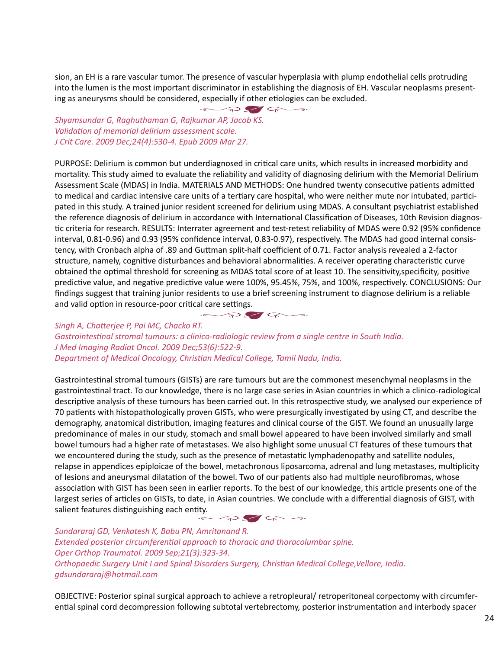sion, an EH is a rare vascular tumor. The presence of vascular hyperplasia with plump endothelial cells protruding into the lumen is the most important discriminator in establishing the diagnosis of EH. Vascular neoplasms presenting as aneurysms should be considered, especially if other etiologies can be excluded.

 $\overline{\mathcal{P}}$ 

*Shyamsundar G, Raghuthaman G, Rajkumar AP, Jacob KS. Validation of memorial delirium assessment scale. J Crit Care. 2009 Dec;24(4):530-4. Epub 2009 Mar 27.*

PURPOSE: Delirium is common but underdiagnosed in critical care units, which results in increased morbidity and mortality. This study aimed to evaluate the reliability and validity of diagnosing delirium with the Memorial Delirium Assessment Scale (MDAS) in India. MATERIALS AND METHODS: One hundred twenty consecutive patients admitted to medical and cardiac intensive care units of a tertiary care hospital, who were neither mute nor intubated, participated in this study. A trained junior resident screened for delirium using MDAS. A consultant psychiatrist established the reference diagnosis of delirium in accordance with International Classification of Diseases, 10th Revision diagnostic criteria for research. RESULTS: Interrater agreement and test-retest reliability of MDAS were 0.92 (95% confidence interval, 0.81-0.96) and 0.93 (95% confidence interval, 0.83-0.97), respectively. The MDAS had good internal consistency, with Cronbach alpha of .89 and Guttman split-half coefficient of 0.71. Factor analysis revealed a 2-factor structure, namely, cognitive disturbances and behavioral abnormalities. A receiver operating characteristic curve obtained the optimal threshold for screening as MDAS total score of at least 10. The sensitivity,specificity, positive predictive value, and negative predictive value were 100%, 95.45%, 75%, and 100%, respectively. CONCLUSIONS: Our findings suggest that training junior residents to use a brief screening instrument to diagnose delirium is a reliable and valid option in resource-poor critical care settings.

 $\overline{\mathcal{P}}$ 

*Singh A, Chatterjee P, Pai MC, Chacko RT. Gastrointestinal stromal tumours: a clinico-radiologic review from a single centre in South India. J Med Imaging Radiat Oncol. 2009 Dec;53(6):522-9. Department of Medical Oncology, Christian Medical College, Tamil Nadu, India.*

Gastrointestinal stromal tumours (GISTs) are rare tumours but are the commonest mesenchymal neoplasms in the gastrointestinal tract. To our knowledge, there is no large case series in Asian countries in which a clinico-radiological descriptive analysis of these tumours has been carried out. In this retrospective study, we analysed our experience of 70 patients with histopathologically proven GISTs, who were presurgically investigated by using CT, and describe the demography, anatomical distribution, imaging features and clinical course of the GIST. We found an unusually large predominance of males in our study, stomach and small bowel appeared to have been involved similarly and small bowel tumours had a higher rate of metastases. We also highlight some unusual CT features of these tumours that we encountered during the study, such as the presence of metastatic lymphadenopathy and satellite nodules, relapse in appendices epiploicae of the bowel, metachronous liposarcoma, adrenal and lung metastases, multiplicity of lesions and aneurysmal dilatation of the bowel. Two of our patients also had multiple neurofibromas, whose association with GIST has been seen in earlier reports. To the best of our knowledge, this article presents one of the largest series of articles on GISTs, to date, in Asian countries. We conclude with a differential diagnosis of GIST, with salient features distinguishing each entity.  $PQQ$ 

*Sundararaj GD, Venkatesh K, Babu PN, Amritanand R. Extended posterior circumferential approach to thoracic and thoracolumbar spine. Oper Orthop Traumatol. 2009 Sep;21(3):323-34. Orthopaedic Surgery Unit I and Spinal Disorders Surgery, Christian Medical College,Vellore, India. gdsundararaj@hotmail.com*

OBJECTIVE: Posterior spinal surgical approach to achieve a retropleural/ retroperitoneal corpectomy with circumferential spinal cord decompression following subtotal vertebrectomy, posterior instrumentation and interbody spacer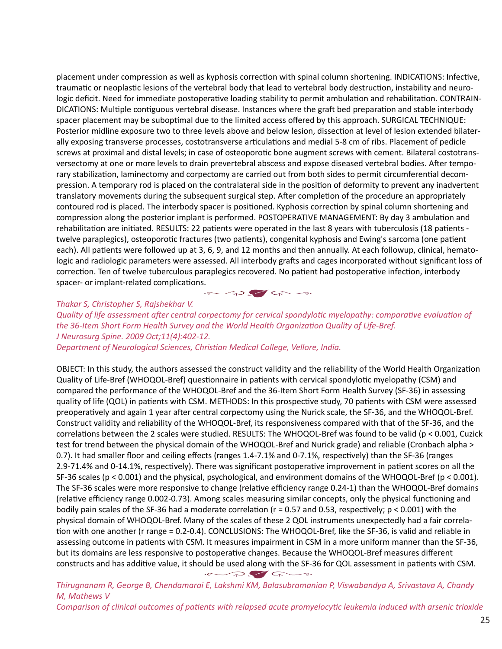placement under compression as well as kyphosis correction with spinal column shortening. INDICATIONS: Infective, traumatic or neoplastic lesions of the vertebral body that lead to vertebral body destruction, instability and neurologic deficit. Need for immediate postoperative loading stability to permit ambulation and rehabilitation. CONTRAIN-DICATIONS: Multiple contiguous vertebral disease. Instances where the graft bed preparation and stable interbody spacer placement may be suboptimal due to the limited access offered by this approach. SURGICAL TECHNIQUE: Posterior midline exposure two to three levels above and below lesion, dissection at level of lesion extended bilaterally exposing transverse processes, costotransverse articulations and medial 5-8 cm of ribs. Placement of pedicle screws at proximal and distal levels; in case of osteoporotic bone augment screws with cement. Bilateral costotransversectomy at one or more levels to drain prevertebral abscess and expose diseased vertebral bodies. After temporary stabilization, laminectomy and corpectomy are carried out from both sides to permit circumferential decompression. A temporary rod is placed on the contralateral side in the position of deformity to prevent any inadvertent translatory movements during the subsequent surgical step. After completion of the procedure an appropriately contoured rod is placed. The interbody spacer is positioned. Kyphosis correction by spinal column shortening and compression along the posterior implant is performed. POSTOPERATIVE MANAGEMENT: By day 3 ambulation and rehabilitation are initiated. RESULTS: 22 patients were operated in the last 8 years with tuberculosis (18 patients twelve paraplegics), osteoporotic fractures (two patients), congenital kyphosis and Ewing's sarcoma (one patient each). All patients were followed up at 3, 6, 9, and 12 months and then annually. At each followup, clinical, hematologic and radiologic parameters were assessed. All interbody grafts and cages incorporated without significant loss of correction. Ten of twelve tuberculous paraplegics recovered. No patient had postoperative infection, interbody spacer- or implant-related complications.

*Thakar S, Christopher S, Rajshekhar V.*

*Quality of life assessment after central corpectomy for cervical spondylotic myelopathy: comparative evaluation of the 36-Item Short Form Health Survey and the World Health Organization Quality of Life-Bref. J Neurosurg Spine. 2009 Oct;11(4):402-12.*

 $\overline{\mathcal{P}}$ 

*Department of Neurological Sciences, Christian Medical College, Vellore, India.*

OBJECT: In this study, the authors assessed the construct validity and the reliability of the World Health Organization Quality of Life-Bref (WHOQOL-Bref) questionnaire in patients with cervical spondylotic myelopathy (CSM) and compared the performance of the WHOQOL-Bref and the 36-Item Short Form Health Survey (SF-36) in assessing quality of life (QOL) in patients with CSM. METHODS: In this prospective study, 70 patients with CSM were assessed preoperatively and again 1 year after central corpectomy using the Nurick scale, the SF-36, and the WHOQOL-Bref. Construct validity and reliability of the WHOQOL-Bref, its responsiveness compared with that of the SF-36, and the correlations between the 2 scales were studied. RESULTS: The WHOQOL-Bref was found to be valid (p < 0.001, Cuzick test for trend between the physical domain of the WHOQOL-Bref and Nurick grade) and reliable (Cronbach alpha > 0.7). It had smaller floor and ceiling effects (ranges 1.4-7.1% and 0-7.1%, respectively) than the SF-36 (ranges 2.9-71.4% and 0-14.1%, respectively). There was significant postoperative improvement in patient scores on all the SF-36 scales (p < 0.001) and the physical, psychological, and environment domains of the WHOQOL-Bref (p < 0.001). The SF-36 scales were more responsive to change (relative efficiency range 0.24-1) than the WHOQOL-Bref domains (relative efficiency range 0.002-0.73). Among scales measuring similar concepts, only the physical functioning and bodily pain scales of the SF-36 had a moderate correlation (r = 0.57 and 0.53, respectively; p < 0.001) with the physical domain of WHOQOL-Bref. Many of the scales of these 2 QOL instruments unexpectedly had a fair correlation with one another (r range = 0.2-0.4). CONCLUSIONS: The WHOQOL-Bref, like the SF-36, is valid and reliable in assessing outcome in patients with CSM. It measures impairment in CSM in a more uniform manner than the SF-36, but its domains are less responsive to postoperative changes. Because the WHOQOL-Bref measures different constructs and has additive value, it should be used along with the SF-36 for QOL assessment in patients with CSM.  $\overline{\mathcal{P}}$ 

*Thirugnanam R, George B, Chendamarai E, Lakshmi KM, Balasubramanian P, Viswabandya A, Srivastava A, Chandy M, Mathews V*

*Comparison of clinical outcomes of patients with relapsed acute promyelocytic leukemia induced with arsenic trioxide*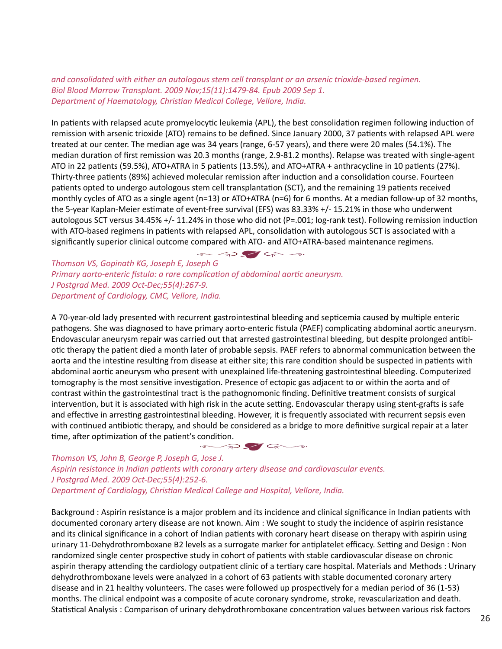*and consolidated with either an autologous stem cell transplant or an arsenic trioxide-based regimen. Biol Blood Marrow Transplant. 2009 Nov;15(11):1479-84. Epub 2009 Sep 1. Department of Haematology, Christian Medical College, Vellore, India.*

In patients with relapsed acute promyelocytic leukemia (APL), the best consolidation regimen following induction of remission with arsenic trioxide (ATO) remains to be defined. Since January 2000, 37 patients with relapsed APL were treated at our center. The median age was 34 years (range, 6-57 years), and there were 20 males (54.1%). The median duration of first remission was 20.3 months (range, 2.9-81.2 months). Relapse was treated with single-agent ATO in 22 patients (59.5%), ATO+ATRA in 5 patients (13.5%), and ATO+ATRA + anthracycline in 10 patients (27%). Thirty-three patients (89%) achieved molecular remission after induction and a consolidation course. Fourteen patients opted to undergo autologous stem cell transplantation (SCT), and the remaining 19 patients received monthly cycles of ATO as a single agent (n=13) or ATO+ATRA (n=6) for 6 months. At a median follow-up of 32 months, the 5-year Kaplan-Meier estimate of event-free survival (EFS) was 83.33% +/- 15.21% in those who underwent autologous SCT versus 34.45% +/- 11.24% in those who did not (P=.001; log-rank test). Following remission induction with ATO-based regimens in patients with relapsed APL, consolidation with autologous SCT is associated with a significantly superior clinical outcome compared with ATO- and ATO+ATRA-based maintenance regimens.

 $\widehat{\phantom{a}}$ 

*Thomson VS, Gopinath KG, Joseph E, Joseph G Primary aorto-enteric fistula: a rare complication of abdominal aortic aneurysm. J Postgrad Med. 2009 Oct-Dec;55(4):267-9. Department of Cardiology, CMC, Vellore, India.*

A 70-year-old lady presented with recurrent gastrointestinal bleeding and septicemia caused by multiple enteric pathogens. She was diagnosed to have primary aorto-enteric fistula (PAEF) complicating abdominal aortic aneurysm. Endovascular aneurysm repair was carried out that arrested gastrointestinal bleeding, but despite prolonged antibiotic therapy the patient died a month later of probable sepsis. PAEF refers to abnormal communication between the aorta and the intestine resulting from disease at either site; this rare condition should be suspected in patients with abdominal aortic aneurysm who present with unexplained life-threatening gastrointestinal bleeding. Computerized tomography is the most sensitive investigation. Presence of ectopic gas adjacent to or within the aorta and of contrast within the gastrointestinal tract is the pathognomonic finding. Definitive treatment consists of surgical intervention, but it is associated with high risk in the acute setting. Endovascular therapy using stent-grafts is safe and effective in arresting gastrointestinal bleeding. However, it is frequently associated with recurrent sepsis even with continued antibiotic therapy, and should be considered as a bridge to more definitive surgical repair at a later time, after optimization of the patient's condition.  $PQQ$ 

*Thomson VS, John B, George P, Joseph G, Jose J. Aspirin resistance in Indian patients with coronary artery disease and cardiovascular events. J Postgrad Med. 2009 Oct-Dec;55(4):252-6. Department of Cardiology, Christian Medical College and Hospital, Vellore, India.*

Background : Aspirin resistance is a major problem and its incidence and clinical significance in Indian patients with documented coronary artery disease are not known. Aim : We sought to study the incidence of aspirin resistance and its clinical significance in a cohort of Indian patients with coronary heart disease on therapy with aspirin using urinary 11-Dehydrothromboxane B2 levels as a surrogate marker for antiplatelet efficacy. Setting and Design : Non randomized single center prospective study in cohort of patients with stable cardiovascular disease on chronic aspirin therapy attending the cardiology outpatient clinic of a tertiary care hospital. Materials and Methods : Urinary dehydrothromboxane levels were analyzed in a cohort of 63 patients with stable documented coronary artery disease and in 21 healthy volunteers. The cases were followed up prospectively for a median period of 36 (1-53) months. The clinical endpoint was a composite of acute coronary syndrome, stroke, revascularization and death. Statistical Analysis : Comparison of urinary dehydrothromboxane concentration values between various risk factors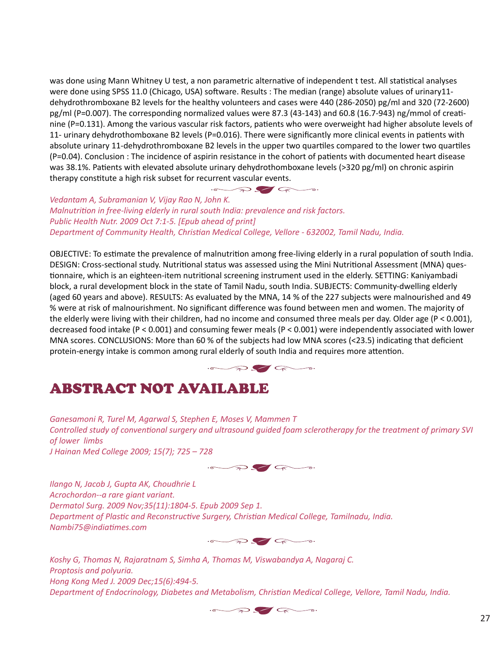was done using Mann Whitney U test, a non parametric alternative of independent t test. All statistical analyses were done using SPSS 11.0 (Chicago, USA) software. Results : The median (range) absolute values of urinary11 dehydrothromboxane B2 levels for the healthy volunteers and cases were 440 (286-2050) pg/ml and 320 (72-2600) pg/ml (P=0.007). The corresponding normalized values were 87.3 (43-143) and 60.8 (16.7-943) ng/mmol of creatinine (P=0.131). Among the various vascular risk factors, patients who were overweight had higher absolute levels of 11- urinary dehydrothomboxane B2 levels (P=0.016). There were significantly more clinical events in patients with absolute urinary 11-dehydrothromboxane B2 levels in the upper two quartiles compared to the lower two quartiles (P=0.04). Conclusion : The incidence of aspirin resistance in the cohort of patients with documented heart disease was 38.1%. Patients with elevated absolute urinary dehydrothomboxane levels (>320 pg/ml) on chronic aspirin therapy constitute a high risk subset for recurrent vascular events.

 $PQQ$ 

*Vedantam A, Subramanian V, Vijay Rao N, John K. Malnutrition in free-living elderly in rural south India: prevalence and risk factors. Public Health Nutr. 2009 Oct 7:1-5. [Epub ahead of print] Department of Community Health, Christian Medical College, Vellore - 632002, Tamil Nadu, India.*

 $-\epsilon$ 

OBJECTIVE: To estimate the prevalence of malnutrition among free-living elderly in a rural population of south India. DESIGN: Cross-sectional study. Nutritional status was assessed using the Mini Nutritional Assessment (MNA) questionnaire, which is an eighteen-item nutritional screening instrument used in the elderly. SETTING: Kaniyambadi block, a rural development block in the state of Tamil Nadu, south India. SUBJECTS: Community-dwelling elderly (aged 60 years and above). RESULTS: As evaluated by the MNA, 14 % of the 227 subjects were malnourished and 49 % were at risk of malnourishment. No significant difference was found between men and women. The majority of the elderly were living with their children, had no income and consumed three meals per day. Older age (P < 0.001), decreased food intake (P < 0.001) and consuming fewer meals (P < 0.001) were independently associated with lower MNA scores. CONCLUSIONS: More than 60 % of the subjects had low MNA scores (<23.5) indicating that deficient protein-energy intake is common among rural elderly of south India and requires more attention.



### ABSTRACT NOT AVAILABLE

*Ganesamoni R, Turel M, Agarwal S, Stephen E, Moses V, Mammen T Controlled study of conventional surgery and ultrasound guided foam sclerotherapy for the treatment of primary SVI of lower limbs J Hainan Med College 2009; 15(7); 725 – 728*



*Ilango N, Jacob J, Gupta AK, Choudhrie L Acrochordon--a rare giant variant. Dermatol Surg. 2009 Nov;35(11):1804-5. Epub 2009 Sep 1. Department of Plastic and Reconstructive Surgery, Christian Medical College, Tamilnadu, India. Nambi75@indiatimes.com*



*Koshy G, Thomas N, Rajaratnam S, Simha A, Thomas M, Viswabandya A, Nagaraj C. Proptosis and polyuria. Hong Kong Med J. 2009 Dec;15(6):494-5. Department of Endocrinology, Diabetes and Metabolism, Christian Medical College, Vellore, Tamil Nadu, India.*

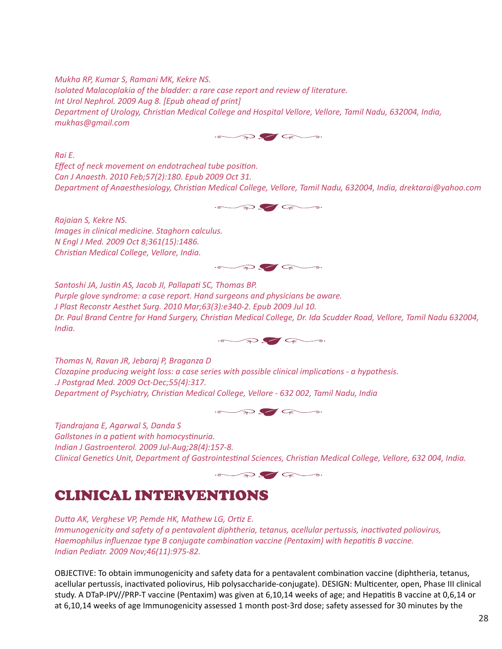*Mukha RP, Kumar S, Ramani MK, Kekre NS. Isolated Malacoplakia of the bladder: a rare case report and review of literature. Int Urol Nephrol. 2009 Aug 8. [Epub ahead of print] Department of Urology, Christian Medical College and Hospital Vellore, Vellore, Tamil Nadu, 632004, India, mukhas@gmail.com*



*Rai E.*

*Effect of neck movement on endotracheal tube position. Can J Anaesth. 2010 Feb;57(2):180. Epub 2009 Oct 31. Department of Anaesthesiology, Christian Medical College, Vellore, Tamil Nadu, 632004, India, drektarai@yahoo.com*



*Rajaian S, Kekre NS. Images in clinical medicine. Staghorn calculus. N Engl J Med. 2009 Oct 8;361(15):1486. Christian Medical College, Vellore, India.*



*Santoshi JA, Justin AS, Jacob JI, Pallapati SC, Thomas BP. Purple glove syndrome: a case report. Hand surgeons and physicians be aware. J Plast Reconstr Aesthet Surg. 2010 Mar;63(3):e340-2. Epub 2009 Jul 10. Dr. Paul Brand Centre for Hand Surgery, Christian Medical College, Dr. Ida Scudder Road, Vellore, Tamil Nadu 632004, India.*



*Thomas N, Ravan JR, Jebaraj P, Braganza D Clozapine producing weight loss: a case series with possible clinical implications - a hypothesis. .J Postgrad Med. 2009 Oct-Dec;55(4):317. Department of Psychiatry, Christian Medical College, Vellore - 632 002, Tamil Nadu, India*



*Tjandrajana E, Agarwal S, Danda S Gallstones in a patient with homocystinuria. Indian J Gastroenterol. 2009 Jul-Aug;28(4):157-8. Clinical Genetics Unit, Department of Gastrointestinal Sciences, Christian Medical College, Vellore, 632 004, India.*



## CLINICAL INTERVENTIONS

*Dutta AK, Verghese VP, Pemde HK, Mathew LG, Ortiz E. Immunogenicity and safety of a pentavalent diphtheria, tetanus, acellular pertussis, inactivated poliovirus, Haemophilus influenzae type B conjugate combination vaccine (Pentaxim) with hepatitis B vaccine. Indian Pediatr. 2009 Nov;46(11):975-82.*

OBJECTIVE: To obtain immunogenicity and safety data for a pentavalent combination vaccine (diphtheria, tetanus, acellular pertussis, inactivated poliovirus, Hib polysaccharide-conjugate). DESIGN: Multicenter, open, Phase III clinical study. A DTaP-IPV//PRP-T vaccine (Pentaxim) was given at 6,10,14 weeks of age; and Hepatitis B vaccine at 0,6,14 or at 6,10,14 weeks of age Immunogenicity assessed 1 month post-3rd dose; safety assessed for 30 minutes by the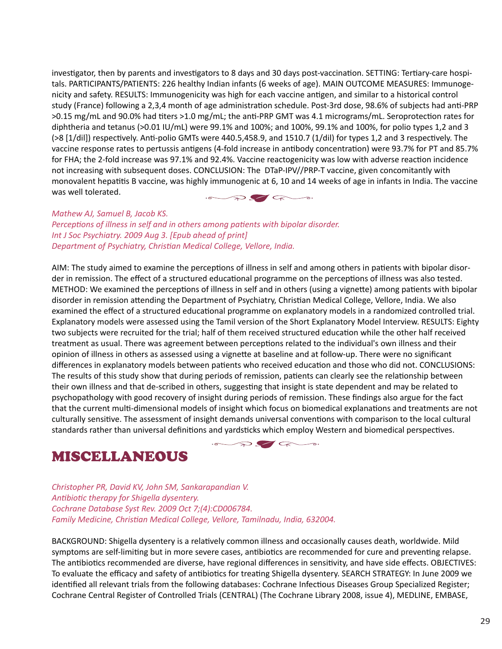investigator, then by parents and investigators to 8 days and 30 days post-vaccination. SETTING: Tertiary-care hospitals. PARTICIPANTS/PATIENTS: 226 healthy Indian infants (6 weeks of age). MAIN OUTCOME MEASURES: Immunogenicity and safety. RESULTS: Immunogenicity was high for each vaccine antigen, and similar to a historical control study (France) following a 2,3,4 month of age administration schedule. Post-3rd dose, 98.6% of subjects had anti-PRP >0.15 mg/mL and 90.0% had titers >1.0 mg/mL; the anti-PRP GMT was 4.1 micrograms/mL. Seroprotection rates for diphtheria and tetanus (>0.01 IU/mL) were 99.1% and 100%; and 100%, 99.1% and 100%, for polio types 1,2 and 3 (>8 [1/dil]) respectively. Anti-polio GMTs were 440.5,458.9, and 1510.7 (1/dil) for types 1,2 and 3 respectively. The vaccine response rates to pertussis antigens (4-fold increase in antibody concentration) were 93.7% for PT and 85.7% for FHA; the 2-fold increase was 97.1% and 92.4%. Vaccine reactogenicity was low with adverse reaction incidence not increasing with subsequent doses. CONCLUSION: The DTaP-IPV//PRP-T vaccine, given concomitantly with monovalent hepatitis B vaccine, was highly immunogenic at 6, 10 and 14 weeks of age in infants in India. The vaccine was well tolerated.  $\sim$ 

#### *Mathew AJ, Samuel B, Jacob KS.*

*Perceptions of illness in self and in others among patients with bipolar disorder. Int J Soc Psychiatry. 2009 Aug 3. [Epub ahead of print] Department of Psychiatry, Christian Medical College, Vellore, India.*

AIM: The study aimed to examine the perceptions of illness in self and among others in patients with bipolar disorder in remission. The effect of a structured educational programme on the perceptions of illness was also tested. METHOD: We examined the perceptions of illness in self and in others (using a vignette) among patients with bipolar disorder in remission attending the Department of Psychiatry, Christian Medical College, Vellore, India. We also examined the effect of a structured educational programme on explanatory models in a randomized controlled trial. Explanatory models were assessed using the Tamil version of the Short Explanatory Model Interview. RESULTS: Eighty two subjects were recruited for the trial; half of them received structured education while the other half received treatment as usual. There was agreement between perceptions related to the individual's own illness and their opinion of illness in others as assessed using a vignette at baseline and at follow-up. There were no significant differences in explanatory models between patients who received education and those who did not. CONCLUSIONS: The results of this study show that during periods of remission, patients can clearly see the relationship between their own illness and that de-scribed in others, suggesting that insight is state dependent and may be related to psychopathology with good recovery of insight during periods of remission. These findings also argue for the fact that the current multi-dimensional models of insight which focus on biomedical explanations and treatments are not culturally sensitive. The assessment of insight demands universal conventions with comparison to the local cultural standards rather than universal definitions and yardsticks which employ Western and biomedical perspectives.

 $\sim$ 



*Christopher PR, David KV, John SM, Sankarapandian V. Antibiotic therapy for Shigella dysentery. Cochrane Database Syst Rev. 2009 Oct 7;(4):CD006784. Family Medicine, Christian Medical College, Vellore, Tamilnadu, India, 632004.*

BACKGROUND: Shigella dysentery is a relatively common illness and occasionally causes death, worldwide. Mild symptoms are self-limiting but in more severe cases, antibiotics are recommended for cure and preventing relapse. The antibiotics recommended are diverse, have regional differences in sensitivity, and have side effects. OBJECTIVES: To evaluate the efficacy and safety of antibiotics for treating Shigella dysentery. SEARCH STRATEGY: In June 2009 we identified all relevant trials from the following databases: Cochrane Infectious Diseases Group Specialized Register; Cochrane Central Register of Controlled Trials (CENTRAL) (The Cochrane Library 2008, issue 4), MEDLINE, EMBASE,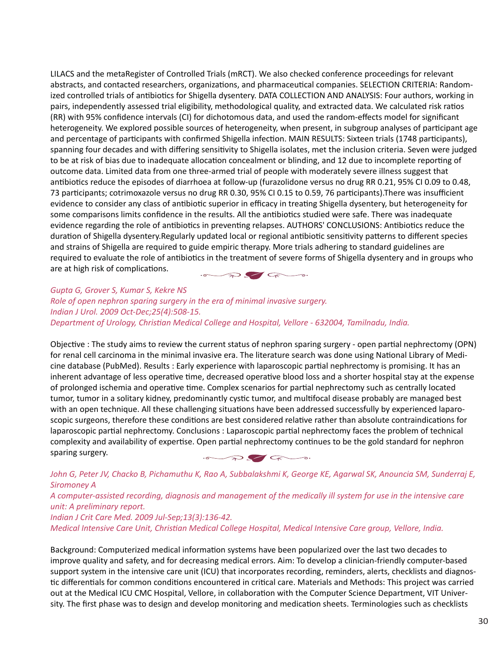LILACS and the metaRegister of Controlled Trials (mRCT). We also checked conference proceedings for relevant abstracts, and contacted researchers, organizations, and pharmaceutical companies. SELECTION CRITERIA: Randomized controlled trials of antibiotics for Shigella dysentery. DATA COLLECTION AND ANALYSIS: Four authors, working in pairs, independently assessed trial eligibility, methodological quality, and extracted data. We calculated risk ratios (RR) with 95% confidence intervals (CI) for dichotomous data, and used the random-effects model for significant heterogeneity. We explored possible sources of heterogeneity, when present, in subgroup analyses of participant age and percentage of participants with confirmed Shigella infection. MAIN RESULTS: Sixteen trials (1748 participants), spanning four decades and with differing sensitivity to Shigella isolates, met the inclusion criteria. Seven were judged to be at risk of bias due to inadequate allocation concealment or blinding, and 12 due to incomplete reporting of outcome data. Limited data from one three-armed trial of people with moderately severe illness suggest that antibiotics reduce the episodes of diarrhoea at follow-up (furazolidone versus no drug RR 0.21, 95% CI 0.09 to 0.48, 73 participants; cotrimoxazole versus no drug RR 0.30, 95% CI 0.15 to 0.59, 76 participants).There was insufficient evidence to consider any class of antibiotic superior in efficacy in treating Shigella dysentery, but heterogeneity for some comparisons limits confidence in the results. All the antibiotics studied were safe. There was inadequate evidence regarding the role of antibiotics in preventing relapses. AUTHORS' CONCLUSIONS: Antibiotics reduce the duration of Shigella dysentery.Regularly updated local or regional antibiotic sensitivity patterns to different species and strains of Shigella are required to guide empiric therapy. More trials adhering to standard guidelines are required to evaluate the role of antibiotics in the treatment of severe forms of Shigella dysentery and in groups who are at high risk of complications.



*Gupta G, Grover S, Kumar S, Kekre NS*

*Role of open nephron sparing surgery in the era of minimal invasive surgery. Indian J Urol. 2009 Oct-Dec;25(4):508-15. Department of Urology, Christian Medical College and Hospital, Vellore - 632004, Tamilnadu, India.*

Objective : The study aims to review the current status of nephron sparing surgery - open partial nephrectomy (OPN) for renal cell carcinoma in the minimal invasive era. The literature search was done using National Library of Medicine database (PubMed). Results : Early experience with laparoscopic partial nephrectomy is promising. It has an inherent advantage of less operative time, decreased operative blood loss and a shorter hospital stay at the expense of prolonged ischemia and operative time. Complex scenarios for partial nephrectomy such as centrally located tumor, tumor in a solitary kidney, predominantly cystic tumor, and multifocal disease probably are managed best with an open technique. All these challenging situations have been addressed successfully by experienced laparoscopic surgeons, therefore these conditions are best considered relative rather than absolute contraindications for laparoscopic partial nephrectomy. Conclusions : Laparoscopic partial nephrectomy faces the problem of technical complexity and availability of expertise. Open partial nephrectomy continues to be the gold standard for nephron sparing surgery.  $\overline{\mathcal{P}}$ 

*John G, Peter JV, Chacko B, Pichamuthu K, Rao A, Subbalakshmi K, George KE, Agarwal SK, Anouncia SM, Sunderraj E, Siromoney A*

*A computer-assisted recording, diagnosis and management of the medically ill system for use in the intensive care unit: A preliminary report.*

*Indian J Crit Care Med. 2009 Jul-Sep;13(3):136-42. Medical Intensive Care Unit, Christian Medical College Hospital, Medical Intensive Care group, Vellore, India.*

Background: Computerized medical information systems have been popularized over the last two decades to improve quality and safety, and for decreasing medical errors. Aim: To develop a clinician-friendly computer-based support system in the intensive care unit (ICU) that incorporates recording, reminders, alerts, checklists and diagnostic differentials for common conditions encountered in critical care. Materials and Methods: This project was carried out at the Medical ICU CMC Hospital, Vellore, in collaboration with the Computer Science Department, VIT University. The first phase was to design and develop monitoring and medication sheets. Terminologies such as checklists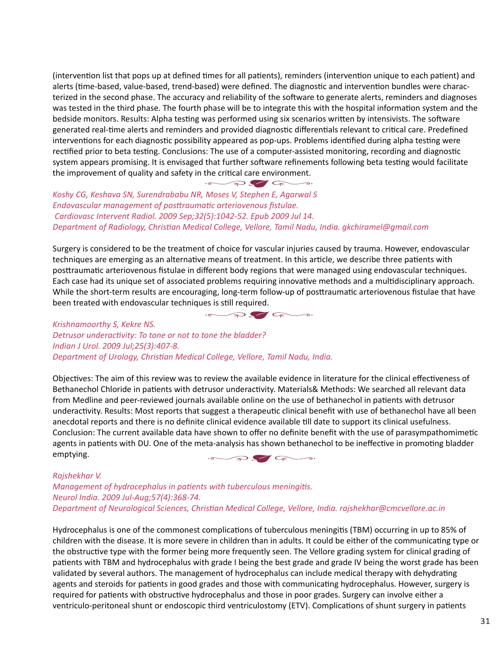(intervention list that pops up at defined times for all patients), reminders (intervention unique to each patient) and alerts (time-based, value-based, trend-based) were defined. The diagnostic and intervention bundles were characterized in the second phase. The accuracy and reliability of the software to generate alerts, reminders and diagnoses was tested in the third phase. The fourth phase will be to integrate this with the hospital information system and the bedside monitors. Results: Alpha testing was performed using six scenarios written by intensivists. The software generated real-time alerts and reminders and provided diagnostic differentials relevant to critical care. Predefined interventions for each diagnostic possibility appeared as pop-ups. Problems identified during alpha testing were rectified prior to beta testing. Conclusions: The use of a computer-assisted monitoring, recording and diagnostic system appears promising. It is envisaged that further software refinements following beta testing would facilitate the improvement of quality and safety in the critical care environment.

 $\sim$ 

*Koshy CG, Keshava SN, Surendrababu NR, Moses V, Stephen E, Agarwal S Endovascular management of posttraumatic arteriovenous fistulae. Cardiovasc Intervent Radiol. 2009 Sep;32(5):1042-52. Epub 2009 Jul 14. Department of Radiology, Christian Medical College, Vellore, Tamil Nadu, India. gkchiramel@gmail.com*

Surgery is considered to be the treatment of choice for vascular injuries caused by trauma. However, endovascular techniques are emerging as an alternative means of treatment. In this article, we describe three patients with posttraumatic arteriovenous fistulae in different body regions that were managed using endovascular techniques. Each case had its unique set of associated problems requiring innovative methods and a multidisciplinary approach. While the short-term results are encouraging, long-term follow-up of posttraumatic arteriovenous fistulae that have been treated with endovascular techniques is still required.



*Krishnamoorthy S, Kekre NS. Detrusor underactivity: To tone or not to tone the bladder? Indian J Urol. 2009 Jul;25(3):407-8. Department of Urology, Christian Medical College, Vellore, Tamil Nadu, India.*

Objectives: The aim of this review was to review the available evidence in literature for the clinical effectiveness of Bethanechol Chloride in patients with detrusor underactivity. Materials& Methods: We searched all relevant data from Medline and peer-reviewed journals available online on the use of bethanechol in patients with detrusor underactivity. Results: Most reports that suggest a therapeutic clinical benefit with use of bethanechol have all been anecdotal reports and there is no definite clinical evidence available till date to support its clinical usefulness. Conclusion: The current available data have shown to offer no definite benefit with the use of parasympathomimetic agents in patients with DU. One of the meta-analysis has shown bethanechol to be ineffective in promoting bladder emptying.  $\overline{\mathcal{P}}$ 

#### *Rajshekhar V.*

*Management of hydrocephalus in patients with tuberculous meningitis. Neurol India. 2009 Jul-Aug;57(4):368-74. Department of Neurological Sciences, Christian Medical College, Vellore, India. rajshekhar@cmcvellore.ac.in*

Hydrocephalus is one of the commonest complications of tuberculous meningitis (TBM) occurring in up to 85% of children with the disease. It is more severe in children than in adults. It could be either of the communicating type or the obstructive type with the former being more frequently seen. The Vellore grading system for clinical grading of patients with TBM and hydrocephalus with grade I being the best grade and grade IV being the worst grade has been validated by several authors. The management of hydrocephalus can include medical therapy with dehydrating agents and steroids for patients in good grades and those with communicating hydrocephalus. However, surgery is required for patients with obstructive hydrocephalus and those in poor grades. Surgery can involve either a ventriculo-peritoneal shunt or endoscopic third ventriculostomy (ETV). Complications of shunt surgery in patients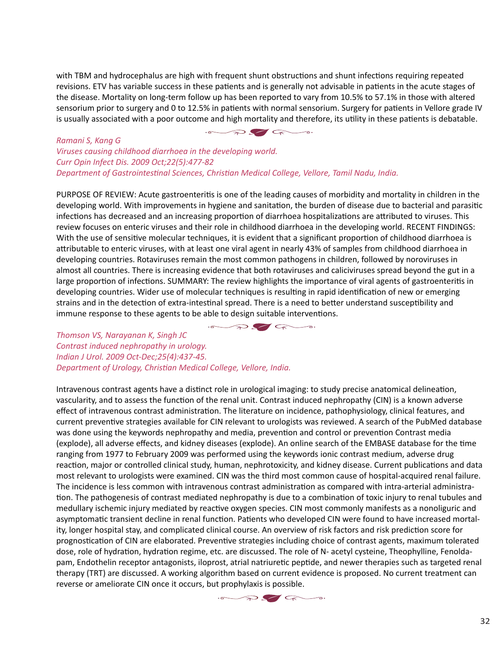with TBM and hydrocephalus are high with frequent shunt obstructions and shunt infections requiring repeated revisions. ETV has variable success in these patients and is generally not advisable in patients in the acute stages of the disease. Mortality on long-term follow up has been reported to vary from 10.5% to 57.1% in those with altered sensorium prior to surgery and 0 to 12.5% in patients with normal sensorium. Surgery for patients in Vellore grade IV is usually associated with a poor outcome and high mortality and therefore, its utility in these patients is debatable.

 $\overline{P}$ 

#### *Ramani S, Kang G*

*Viruses causing childhood diarrhoea in the developing world. Curr Opin Infect Dis. 2009 Oct;22(5):477-82 Department of Gastrointestinal Sciences, Christian Medical College, Vellore, Tamil Nadu, India.*

PURPOSE OF REVIEW: Acute gastroenteritis is one of the leading causes of morbidity and mortality in children in the developing world. With improvements in hygiene and sanitation, the burden of disease due to bacterial and parasitic infections has decreased and an increasing proportion of diarrhoea hospitalizations are attributed to viruses. This review focuses on enteric viruses and their role in childhood diarrhoea in the developing world. RECENT FINDINGS: With the use of sensitive molecular techniques, it is evident that a significant proportion of childhood diarrhoea is attributable to enteric viruses, with at least one viral agent in nearly 43% of samples from childhood diarrhoea in developing countries. Rotaviruses remain the most common pathogens in children, followed by noroviruses in almost all countries. There is increasing evidence that both rotaviruses and caliciviruses spread beyond the gut in a large proportion of infections. SUMMARY: The review highlights the importance of viral agents of gastroenteritis in developing countries. Wider use of molecular techniques is resulting in rapid identification of new or emerging strains and in the detection of extra-intestinal spread. There is a need to better understand susceptibility and immune response to these agents to be able to design suitable interventions.

 $\overline{\mathcal{P}}$ 

*Thomson VS, Narayanan K, Singh JC Contrast induced nephropathy in urology. Indian J Urol. 2009 Oct-Dec;25(4):437-45. Department of Urology, Christian Medical College, Vellore, India.*

Intravenous contrast agents have a distinct role in urological imaging: to study precise anatomical delineation, vascularity, and to assess the function of the renal unit. Contrast induced nephropathy (CIN) is a known adverse effect of intravenous contrast administration. The literature on incidence, pathophysiology, clinical features, and current preventive strategies available for CIN relevant to urologists was reviewed. A search of the PubMed database was done using the keywords nephropathy and media, prevention and control or prevention Contrast media (explode), all adverse effects, and kidney diseases (explode). An online search of the EMBASE database for the time ranging from 1977 to February 2009 was performed using the keywords ionic contrast medium, adverse drug reaction, major or controlled clinical study, human, nephrotoxicity, and kidney disease. Current publications and data most relevant to urologists were examined. CIN was the third most common cause of hospital-acquired renal failure. The incidence is less common with intravenous contrast administration as compared with intra-arterial administration. The pathogenesis of contrast mediated nephropathy is due to a combination of toxic injury to renal tubules and medullary ischemic injury mediated by reactive oxygen species. CIN most commonly manifests as a nonoliguric and asymptomatic transient decline in renal function. Patients who developed CIN were found to have increased mortality, longer hospital stay, and complicated clinical course. An overview of risk factors and risk prediction score for prognostication of CIN are elaborated. Preventive strategies including choice of contrast agents, maximum tolerated dose, role of hydration, hydration regime, etc. are discussed. The role of N- acetyl cysteine, Theophylline, Fenoldapam, Endothelin receptor antagonists, iloprost, atrial natriuretic peptide, and newer therapies such as targeted renal therapy (TRT) are discussed. A working algorithm based on current evidence is proposed. No current treatment can reverse or ameliorate CIN once it occurs, but prophylaxis is possible.

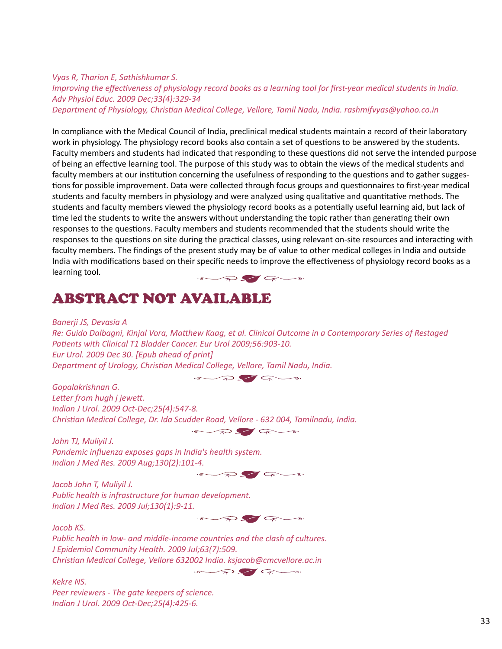#### *Vyas R, Tharion E, Sathishkumar S.*

*Improving the effectiveness of physiology record books as a learning tool for first-year medical students in India. Adv Physiol Educ. 2009 Dec;33(4):329-34 Department of Physiology, Christian Medical College, Vellore, Tamil Nadu, India. rashmifvyas@yahoo.co.in*

In compliance with the Medical Council of India, preclinical medical students maintain a record of their laboratory work in physiology. The physiology record books also contain a set of questions to be answered by the students. Faculty members and students had indicated that responding to these questions did not serve the intended purpose of being an effective learning tool. The purpose of this study was to obtain the views of the medical students and faculty members at our institution concerning the usefulness of responding to the questions and to gather suggestions for possible improvement. Data were collected through focus groups and questionnaires to first-year medical students and faculty members in physiology and were analyzed using qualitative and quantitative methods. The students and faculty members viewed the physiology record books as a potentially useful learning aid, but lack of time led the students to write the answers without understanding the topic rather than generating their own responses to the questions. Faculty members and students recommended that the students should write the responses to the questions on site during the practical classes, using relevant on-site resources and interacting with faculty members. The findings of the present study may be of value to other medical colleges in India and outside India with modifications based on their specific needs to improve the effectiveness of physiology record books as a learning tool.  $\overline{\mathcal{P}}$ 

### ABSTRACT NOT AVAILABLE

#### *Banerji JS, Devasia A*

*Re: Guido Dalbagni, Kinjal Vora, Matthew Kaag, et al. Clinical Outcome in a Contemporary Series of Restaged Patients with Clinical T1 Bladder Cancer. Eur Urol 2009;56:903-10. Eur Urol. 2009 Dec 30. [Epub ahead of print] Department of Urology, Christian Medical College, Vellore, Tamil Nadu, India.*



 $\overline{P}$ 

*Gopalakrishnan G. Letter from hugh j jewett. Indian J Urol. 2009 Oct-Dec;25(4):547-8. Christian Medical College, Dr. Ida Scudder Road, Vellore - 632 004, Tamilnadu, India.*

*John TJ, Muliyil J. Pandemic influenza exposes gaps in India's health system. Indian J Med Res. 2009 Aug;130(2):101-4.*

 $\overline{\phantom{a}}$ 

 $\overline{\rightarrow}$ 

 $\cdot$ 

*Jacob John T, Muliyil J. Public health is infrastructure for human development. Indian J Med Res. 2009 Jul;130(1):9-11.*

*Jacob KS.*

*Public health in low- and middle-income countries and the clash of cultures. J Epidemiol Community Health. 2009 Jul;63(7):509. Christian Medical College, Vellore 632002 India. ksjacob@cmcvellore.ac.in*

*Kekre NS. Peer reviewers - The gate keepers of science. Indian J Urol. 2009 Oct-Dec;25(4):425-6.*